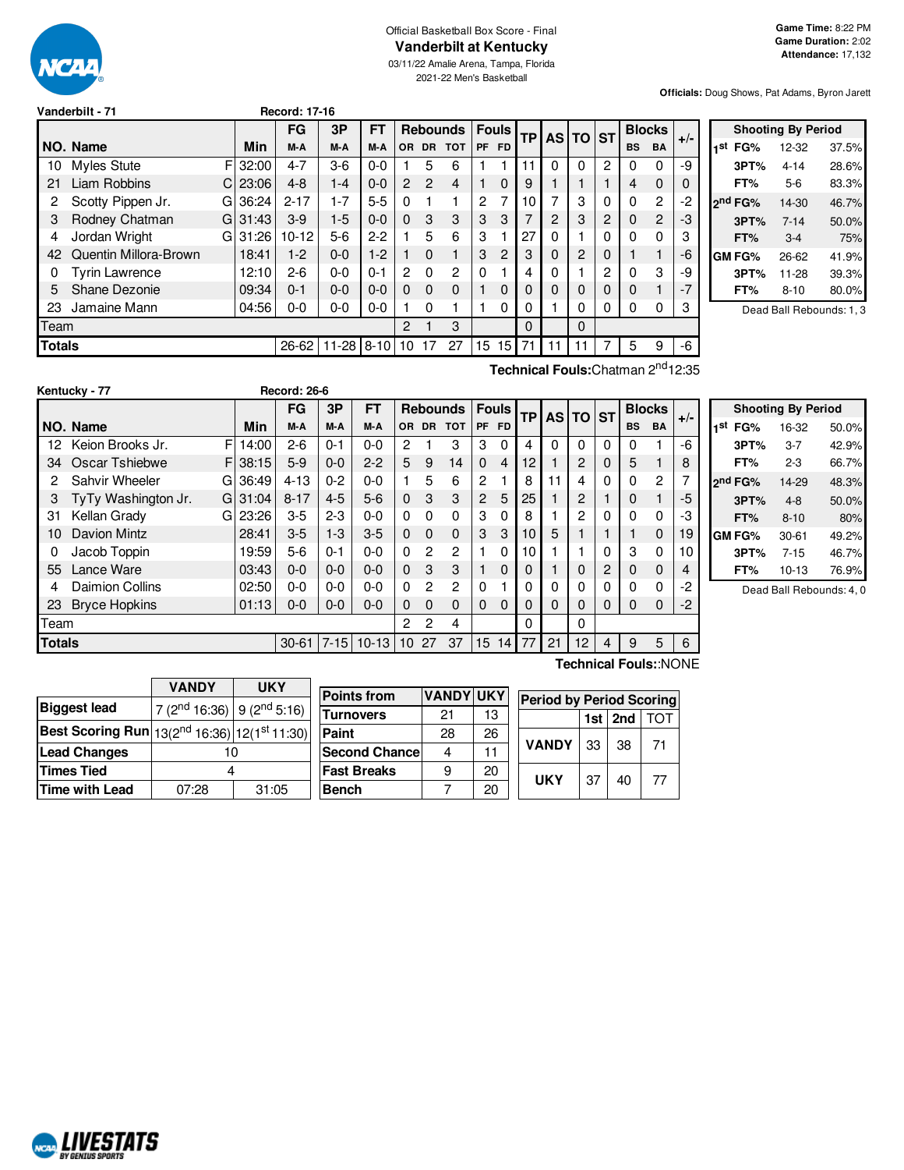

### Official Basketball Box Score - Final **Vanderbilt at Kentucky**

03/11/22 Amalie Arena, Tampa, Florida 2021-22 Men's Basketball

**Officials:** Doug Shows, Pat Adams, Byron Jarett

| Vanderbilt - 71 |  |
|-----------------|--|
|                 |  |

|               |                       |             | FG        | 3P        | FT       |                |                | <b>Rebounds</b> |                | <b>Fouls</b> |          | <b>TP</b> | AS TO ST |                | <b>Blocks</b> |                | $+/-$    |
|---------------|-----------------------|-------------|-----------|-----------|----------|----------------|----------------|-----------------|----------------|--------------|----------|-----------|----------|----------------|---------------|----------------|----------|
|               | NO. Name              | Min         | M-A       | M-A       | M-A      | <b>OR</b>      | <b>DR</b>      | <b>TOT</b>      | PF             | <b>FD</b>    |          |           |          |                | <b>BS</b>     | <b>BA</b>      |          |
| 10            | <b>Myles Stute</b>    | FI32:00     | $4 - 7$   | $3-6$     | $0 - 0$  |                | 5              | 6               |                |              | 11       | $\Omega$  | $\Omega$ | 2              | 0             | 0              | -9       |
| 21            | <b>Liam Robbins</b>   | 23:06<br>C. | $4 - 8$   | $1 - 4$   | $0 - 0$  | $\overline{2}$ | $\overline{c}$ | 4               |                | 0            | 9        |           |          |                | 4             | $\Omega$       | $\Omega$ |
| 2             | Scotty Pippen Jr.     | 36:24<br>G  | $2 - 17$  | $1 - 7$   | $5 - 5$  | $\Omega$       |                |                 | $\overline{2}$ | 7            | 10       | 7         | 3        | 0              | 0             | $\overline{2}$ | $-2$     |
| 3             | Rodney Chatman        | 31:43<br>GI | $3-9$     | $1-5$     | $0 - 0$  | $\Omega$       | 3              | 3               | 3              | 3            |          | 2         | 3        | 2              | $\Omega$      | $\overline{c}$ | -3       |
| 4             | Jordan Wright<br>G    | 31:26       | $10-12$   | $5-6$     | $2-2$    |                | 5              | 6               | 3              |              | 27       | 0         |          | 0              | 0             | 0              | 3        |
| 42            | Quentin Millora-Brown | 18:41       | $1-2$     | $0 - 0$   | $1-2$    |                | $\Omega$       |                 | 3              | 2            | 3        | 0         | 2        | 0              |               | 1              | -6       |
| 0             | <b>Tyrin Lawrence</b> | 12:10       | $2-6$     | $0-0$     | $0 - 1$  | 2              | $\Omega$       | 2               | $\Omega$       |              | 4        | 0         |          | $\overline{c}$ | 0             | 3              | -9       |
| 5             | Shane Dezonie         | 09:34       | $0 - 1$   | $0 - 0$   | $0 - 0$  | $\Omega$       | $\Omega$       | $\Omega$        |                | 0            | $\Omega$ | 0         | 0        | 0              | $\Omega$      | 1              | $-7$     |
| 23            | Jamaine Mann          | 04:56       | $0-0$     | $0-0$     | $0-0$    |                | $\Omega$       |                 |                | 0            | 0        |           | 0        | 0              | 0             | 0              | 3        |
| Team          |                       |             |           |           |          | 2              |                | 3               |                |              | $\Omega$ |           | $\Omega$ |                |               |                |          |
| <b>Totals</b> |                       |             | $26 - 62$ | $11 - 28$ | $8 - 10$ | 10             | 17             | 27              | 15             | 15           | 71       | 11        | 11       |                | 5             | 9              | -6       |

**Vanderbilt - 71 Record: 17-16**

| <b>Shooting By Period</b> |         |          |       |  |  |  |  |
|---------------------------|---------|----------|-------|--|--|--|--|
| 1st                       | FG%     | 12-32    | 37.5% |  |  |  |  |
|                           | 3PT%    | $4 - 14$ | 28.6% |  |  |  |  |
|                           | FT%     | 5-6      | 83.3% |  |  |  |  |
|                           | ond FG% | 14-30    | 46.7% |  |  |  |  |
|                           | 3PT%    | $7 - 14$ | 50.0% |  |  |  |  |
|                           | FT%     | $3-4$    | 75%   |  |  |  |  |
|                           | GM FG%  | 26-62    | 41.9% |  |  |  |  |
|                           | 3PT%    | 11-28    | 39.3% |  |  |  |  |
|                           | FT%     | $8 - 10$ | 80.0% |  |  |  |  |

Dead Ball Rebounds: 1, 3

**Technical Fouls:**Chatman 2<sup>nd</sup>12:35

|               | Kentucky - 77          |   |       | <b>Record: 26-6</b> |          |         |           |           |                 |             |                |           |    |       |           |           |               |       |
|---------------|------------------------|---|-------|---------------------|----------|---------|-----------|-----------|-----------------|-------------|----------------|-----------|----|-------|-----------|-----------|---------------|-------|
|               |                        |   |       | FG                  | 3P       | FT      |           |           | <b>Rebounds</b> |             | <b>Fouls</b>   | <b>TP</b> |    | AS TO | <b>ST</b> |           | <b>Blocks</b> |       |
|               | NO. Name               |   | Min   | M-A                 | M-A      | M-A     | <b>OR</b> | <b>DR</b> | <b>TOT</b>      | <b>PF</b>   | <b>FD</b>      |           |    |       |           | <b>BS</b> | <b>BA</b>     | $+/-$ |
| 12            | Keion Brooks Jr.       | F | 14:00 | $2 - 6$             | $0 - 1$  | $0 - 0$ | 2         |           | 3               | 3           | 0              | 4         | 0  | 0     | 0         | 0         |               | -6    |
| 34            | Oscar Tshiebwe         | F | 38:15 | $5-9$               | $0 - 0$  | $2 - 2$ | 5         | 9         | 14              | $\mathbf 0$ | $\overline{4}$ | 12        |    | 2     | $\Omega$  | 5         |               | 8     |
| 2             | Sahvir Wheeler         | G | 36:49 | $4 - 13$            | $0 - 2$  | $0 - 0$ |           | 5         | 6               | 2           |                | 8         | 11 | 4     | 0         | 0         | 2             | 7     |
| 3             | TyTy Washington Jr.    | G | 31:04 | $8 - 17$            | $4 - 5$  | $5-6$   | $\Omega$  | 3         | 3               | 2           | 5              | 25        |    | 2     |           | 0         |               | -5    |
| 31            | Kellan Grady           | G | 23:26 | $3-5$               | $2 - 3$  | 0-0     | 0         | $\Omega$  | 0               | 3           | 0              | 8         |    | 2     | $\Omega$  | $\Omega$  | $\Omega$      | -3    |
| 10            | Davion Mintz           |   | 28:41 | $3-5$               | $1 - 3$  | $3-5$   | $\Omega$  | $\Omega$  | $\Omega$        | 3           | 3              | 10        | 5  |       |           |           | $\Omega$      | 19    |
| 0             | Jacob Toppin           |   | 19:59 | $5-6$               | $0 - 1$  | 0-0     | $\Omega$  | 2         | 2               |             | 0              | 10        |    |       | 0         | 3         | $\Omega$      | 10    |
| 55            | Lance Ware             |   | 03:43 | $0 - 0$             | $0 - 0$  | $0 - 0$ | $\Omega$  | 3         | 3               |             | 0              | 0         |    | 0     | 2         | 0         | $\Omega$      | 4     |
| 4             | <b>Daimion Collins</b> |   | 02:50 | $0 - 0$             | $0 - 0$  | $0 - 0$ | $\Omega$  | 2         | 2               | $\Omega$    |                |           | 0  | 0     | 0         | $\Omega$  | $\Omega$      | -2    |
| 23            | <b>Bryce Hopkins</b>   |   | 01:13 | $0 - 0$             | $0 - 0$  | $0 - 0$ | 0         | $\Omega$  | $\Omega$        | 0           | 0              | 0         | 0  | 0     | 0         | 0         | $\Omega$      | $-2$  |
| Team          |                        |   |       |                     |          |         | 2         | 2         | 4               |             |                | 0         |    | 0     |           |           |               |       |
| <b>Totals</b> |                        |   |       | $30 - 61$           | $7 - 15$ | $10-13$ | 10        | 27        | 37              | 15          | 14             | 77        | 21 | 12    | 4         | 9         | 5             | 6     |

|     | <b>Shooting By Period</b> |           |       |  |  |  |  |  |
|-----|---------------------------|-----------|-------|--|--|--|--|--|
| 1st | FG%                       | 16-32     | 50.0% |  |  |  |  |  |
|     | 3PT%                      | $3 - 7$   | 42.9% |  |  |  |  |  |
|     | FT%                       | 2-3       | 66.7% |  |  |  |  |  |
|     | 2 <sup>nd</sup> FG%       | 14-29     | 48.3% |  |  |  |  |  |
|     | 3PT%                      | $4 - 8$   | 50.0% |  |  |  |  |  |
|     | FT%                       | $8 - 10$  | 80%   |  |  |  |  |  |
|     | GM FG%                    | 30-61     | 49.2% |  |  |  |  |  |
|     | 3PT%                      | $7 - 15$  | 46.7% |  |  |  |  |  |
|     | FT%                       | $10 - 13$ | 76.9% |  |  |  |  |  |

Dead Ball Rebounds: 4, 0

|                                              | <b>VANDY</b>                              | UKY   |  |  |  |
|----------------------------------------------|-------------------------------------------|-------|--|--|--|
| <b>Biggest lead</b>                          | $7(2^{nd}16:36)$ 9 (2 <sup>nd</sup> 5:16) |       |  |  |  |
| Best Scoring Run 13(2nd 16:36) 12(1st 11:30) |                                           |       |  |  |  |
| <b>Lead Changes</b>                          | 10                                        |       |  |  |  |
| <b>Times Tied</b>                            |                                           |       |  |  |  |
| <b>Time with Lead</b>                        | 07:28                                     | 31:05 |  |  |  |

| <b>Points from</b>    | <b>VANDY UKY</b> |    | <b>Period by Period Scoring</b> |
|-----------------------|------------------|----|---------------------------------|
| <b>ITurnovers</b>     | 21               | 13 | $1st$ 2nd<br><b>TOT</b>         |
| Paint                 | 28               | 26 |                                 |
| <b>Second Chancel</b> |                  | 11 | <b>VANDY</b><br>33<br>38<br>71  |
| <b>Fast Breaks</b>    |                  | 20 | <b>UKY</b><br>40<br>77          |
| <b>Bench</b>          |                  | 20 | 37                              |

**Technical Fouls:**:NONE

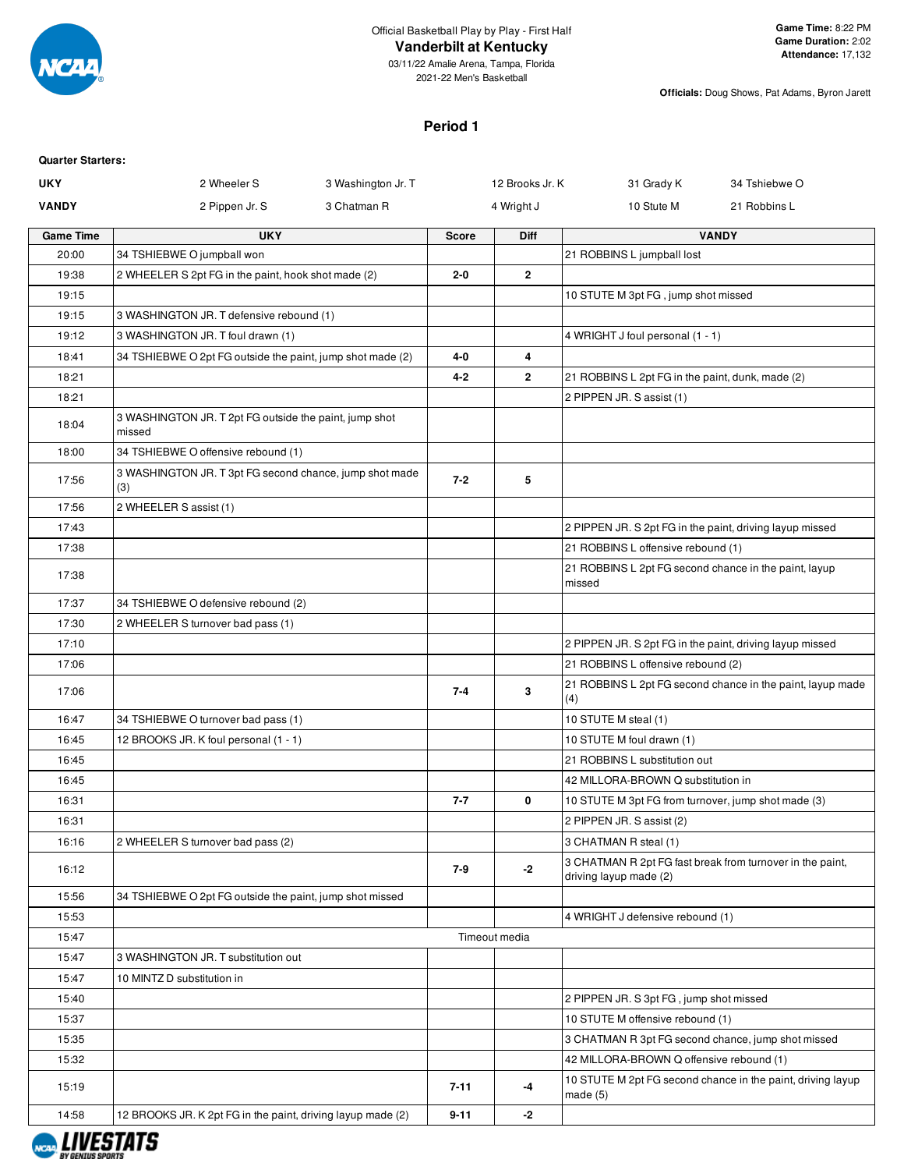

03/11/22 Amalie Arena, Tampa, Florida 2021-22 Men's Basketball

**Officials:** Doug Shows, Pat Adams, Byron Jarett

## **Period 1**

| <b>Quarter Starters:</b> |                                                                  |                    |              |                 |                                                                 |                                                             |
|--------------------------|------------------------------------------------------------------|--------------------|--------------|-----------------|-----------------------------------------------------------------|-------------------------------------------------------------|
| <b>UKY</b>               | 2 Wheeler S                                                      | 3 Washington Jr. T |              | 12 Brooks Jr. K | 31 Grady K                                                      | 34 Tshiebwe O                                               |
| <b>VANDY</b>             | 2 Pippen Jr. S                                                   | 3 Chatman R        |              | 4 Wright J      | 10 Stute M                                                      | 21 Robbins L                                                |
| <b>Game Time</b>         | <b>UKY</b>                                                       |                    | <b>Score</b> | Diff            |                                                                 | <b>VANDY</b>                                                |
| 20:00                    | 34 TSHIEBWE O jumpball won                                       |                    |              |                 | 21 ROBBINS L jumpball lost                                      |                                                             |
| 19:38                    | 2 WHEELER S 2pt FG in the paint, hook shot made (2)              |                    | 2-0          | $\mathbf{2}$    |                                                                 |                                                             |
| 19:15                    |                                                                  |                    |              |                 | 10 STUTE M 3pt FG, jump shot missed                             |                                                             |
| 19:15                    | 3 WASHINGTON JR. T defensive rebound (1)                         |                    |              |                 |                                                                 |                                                             |
| 19:12                    | 3 WASHINGTON JR. T foul drawn (1)                                |                    |              |                 | 4 WRIGHT J foul personal (1 - 1)                                |                                                             |
| 18:41                    | 34 TSHIEBWE O 2pt FG outside the paint, jump shot made (2)       |                    | 4-0          | 4               |                                                                 |                                                             |
| 18:21                    |                                                                  |                    | $4 - 2$      | $\mathbf{2}$    | 21 ROBBINS L 2pt FG in the paint, dunk, made (2)                |                                                             |
| 18:21                    |                                                                  |                    |              |                 | 2 PIPPEN JR. S assist (1)                                       |                                                             |
| 18:04                    | 3 WASHINGTON JR. T 2pt FG outside the paint, jump shot<br>missed |                    |              |                 |                                                                 |                                                             |
| 18:00                    | 34 TSHIEBWE O offensive rebound (1)                              |                    |              |                 |                                                                 |                                                             |
| 17:56                    | 3 WASHINGTON JR. T 3pt FG second chance, jump shot made<br>(3)   |                    | $7 - 2$      | 5               |                                                                 |                                                             |
| 17:56                    | 2 WHEELER S assist (1)                                           |                    |              |                 |                                                                 |                                                             |
| 17:43                    |                                                                  |                    |              |                 | 2 PIPPEN JR. S 2pt FG in the paint, driving layup missed        |                                                             |
| 17:38                    |                                                                  |                    |              |                 | 21 ROBBINS L offensive rebound (1)                              |                                                             |
| 17:38                    |                                                                  |                    |              |                 | 21 ROBBINS L 2pt FG second chance in the paint, layup<br>missed |                                                             |
| 17:37                    | 34 TSHIEBWE O defensive rebound (2)                              |                    |              |                 |                                                                 |                                                             |
| 17:30                    | 2 WHEELER S turnover bad pass (1)                                |                    |              |                 |                                                                 |                                                             |
| 17:10                    |                                                                  |                    |              |                 | 2 PIPPEN JR. S 2pt FG in the paint, driving layup missed        |                                                             |
| 17:06                    |                                                                  |                    |              |                 | 21 ROBBINS L offensive rebound (2)                              |                                                             |
| 17:06                    |                                                                  |                    | $7 - 4$      | 3               | (4)                                                             | 21 ROBBINS L 2pt FG second chance in the paint, layup made  |
| 16:47                    | 34 TSHIEBWE O turnover bad pass (1)                              |                    |              |                 | 10 STUTE M steal (1)                                            |                                                             |
| 16:45                    | 12 BROOKS JR. K foul personal (1 - 1)                            |                    |              |                 | 10 STUTE M foul drawn (1)                                       |                                                             |
| 16:45                    |                                                                  |                    |              |                 | 21 ROBBINS L substitution out                                   |                                                             |
| 16:45                    |                                                                  |                    |              |                 | 42 MILLORA-BROWN Q substitution in                              |                                                             |
| 16:31                    |                                                                  |                    | $7 - 7$      | 0               | 10 STUTE M 3pt FG from turnover, jump shot made (3)             |                                                             |
| 16:31                    |                                                                  |                    |              |                 | 2 PIPPEN JR. S assist (2)                                       |                                                             |
| 16:16                    | 2 WHEELER S turnover bad pass (2)                                |                    |              |                 | 3 CHATMAN R steal (1)                                           |                                                             |
| 16:12                    |                                                                  |                    | 7-9          | $-2$            | driving layup made (2)                                          | 3 CHATMAN R 2pt FG fast break from turnover in the paint,   |
| 15:56                    | 34 TSHIEBWE O 2pt FG outside the paint, jump shot missed         |                    |              |                 |                                                                 |                                                             |
| 15:53                    |                                                                  |                    |              |                 | 4 WRIGHT J defensive rebound (1)                                |                                                             |
| 15:47                    |                                                                  |                    |              | Timeout media   |                                                                 |                                                             |
| 15:47                    | 3 WASHINGTON JR. T substitution out                              |                    |              |                 |                                                                 |                                                             |
| 15:47                    | 10 MINTZ D substitution in                                       |                    |              |                 |                                                                 |                                                             |
| 15:40                    |                                                                  |                    |              |                 | 2 PIPPEN JR. S 3pt FG, jump shot missed                         |                                                             |
| 15:37                    |                                                                  |                    |              |                 | 10 STUTE M offensive rebound (1)                                |                                                             |
| 15:35                    |                                                                  |                    |              |                 | 3 CHATMAN R 3pt FG second chance, jump shot missed              |                                                             |
| 15:32                    |                                                                  |                    |              |                 | 42 MILLORA-BROWN Q offensive rebound (1)                        |                                                             |
| 15:19                    |                                                                  |                    | $7 - 11$     | -4              | made $(5)$                                                      | 10 STUTE M 2pt FG second chance in the paint, driving layup |
| 14:58                    | 12 BROOKS JR. K 2pt FG in the paint, driving layup made (2)      |                    | $9 - 11$     | $-2$            |                                                                 |                                                             |

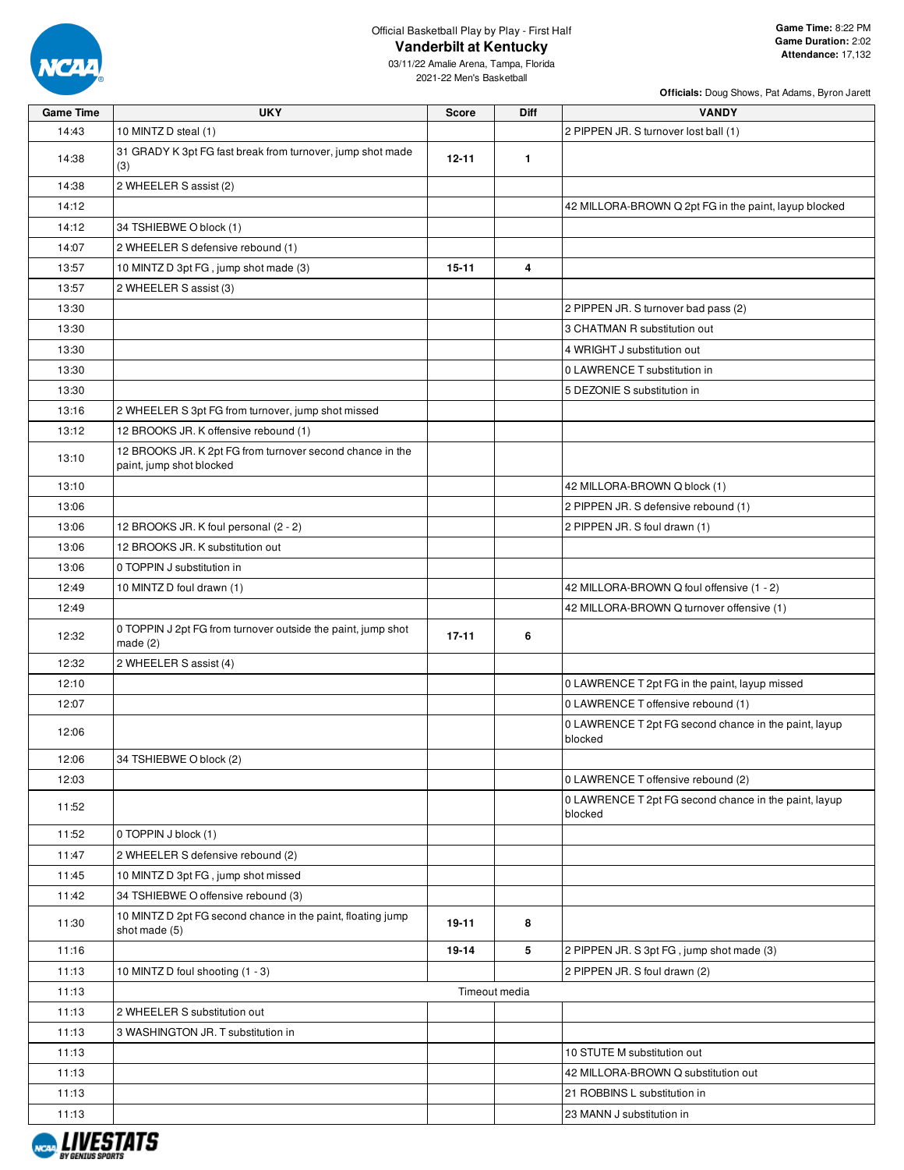

| Game Time | <b>UKY</b>                                                                            | Score     | Diff          | <b>VANDY</b>                                                     |
|-----------|---------------------------------------------------------------------------------------|-----------|---------------|------------------------------------------------------------------|
| 14:43     | 10 MINTZ D steal (1)                                                                  |           |               | 2 PIPPEN JR. S turnover lost ball (1)                            |
| 14:38     | 31 GRADY K 3pt FG fast break from turnover, jump shot made<br>(3)                     | $12 - 11$ | $\mathbf{1}$  |                                                                  |
| 14:38     | 2 WHEELER S assist (2)                                                                |           |               |                                                                  |
| 14:12     |                                                                                       |           |               | 42 MILLORA-BROWN Q 2pt FG in the paint, layup blocked            |
| 14:12     | 34 TSHIEBWE O block (1)                                                               |           |               |                                                                  |
| 14:07     | 2 WHEELER S defensive rebound (1)                                                     |           |               |                                                                  |
| 13:57     | 10 MINTZ D 3pt FG, jump shot made (3)                                                 | $15 - 11$ | 4             |                                                                  |
| 13:57     | 2 WHEELER S assist (3)                                                                |           |               |                                                                  |
| 13:30     |                                                                                       |           |               | 2 PIPPEN JR. S turnover bad pass (2)                             |
| 13:30     |                                                                                       |           |               | 3 CHATMAN R substitution out                                     |
| 13:30     |                                                                                       |           |               | 4 WRIGHT J substitution out                                      |
| 13:30     |                                                                                       |           |               | 0 LAWRENCE T substitution in                                     |
| 13:30     |                                                                                       |           |               | 5 DEZONIE S substitution in                                      |
| 13:16     | 2 WHEELER S 3pt FG from turnover, jump shot missed                                    |           |               |                                                                  |
| 13:12     | 12 BROOKS JR. K offensive rebound (1)                                                 |           |               |                                                                  |
| 13:10     | 12 BROOKS JR. K 2pt FG from turnover second chance in the<br>paint, jump shot blocked |           |               |                                                                  |
| 13:10     |                                                                                       |           |               | 42 MILLORA-BROWN Q block (1)                                     |
| 13:06     |                                                                                       |           |               | 2 PIPPEN JR. S defensive rebound (1)                             |
| 13:06     | 12 BROOKS JR. K foul personal (2 - 2)                                                 |           |               | 2 PIPPEN JR. S foul drawn (1)                                    |
| 13:06     | 12 BROOKS JR. K substitution out                                                      |           |               |                                                                  |
| 13:06     | 0 TOPPIN J substitution in                                                            |           |               |                                                                  |
| 12:49     | 10 MINTZ D foul drawn (1)                                                             |           |               | 42 MILLORA-BROWN Q foul offensive (1 - 2)                        |
| 12:49     |                                                                                       |           |               | 42 MILLORA-BROWN Q turnover offensive (1)                        |
| 12:32     | 0 TOPPIN J 2pt FG from turnover outside the paint, jump shot<br>made $(2)$            | $17 - 11$ | 6             |                                                                  |
| 12:32     | 2 WHEELER S assist (4)                                                                |           |               |                                                                  |
| 12:10     |                                                                                       |           |               | 0 LAWRENCE T 2pt FG in the paint, layup missed                   |
| 12:07     |                                                                                       |           |               | 0 LAWRENCE T offensive rebound (1)                               |
| 12:06     |                                                                                       |           |               | 0 LAWRENCE T 2pt FG second chance in the paint, layup<br>blocked |
| 12:06     | 34 TSHIEBWE O block (2)                                                               |           |               |                                                                  |
| 12:03     |                                                                                       |           |               | 0 LAWRENCE T offensive rebound (2)                               |
| 11:52     |                                                                                       |           |               | 0 LAWRENCE T 2pt FG second chance in the paint, layup<br>blocked |
| 11:52     | 0 TOPPIN J block (1)                                                                  |           |               |                                                                  |
| 11:47     | 2 WHEELER S defensive rebound (2)                                                     |           |               |                                                                  |
| 11:45     | 10 MINTZ D 3pt FG, jump shot missed                                                   |           |               |                                                                  |
| 11:42     | 34 TSHIEBWE O offensive rebound (3)                                                   |           |               |                                                                  |
| 11:30     | 10 MINTZ D 2pt FG second chance in the paint, floating jump<br>shot made (5)          | 19-11     | 8             |                                                                  |
| 11:16     |                                                                                       | 19-14     | 5             | 2 PIPPEN JR. S 3pt FG, jump shot made (3)                        |
| 11:13     | 10 MINTZ D foul shooting (1 - 3)                                                      |           |               | 2 PIPPEN JR. S foul drawn (2)                                    |
| 11:13     |                                                                                       |           | Timeout media |                                                                  |
| 11:13     | 2 WHEELER S substitution out                                                          |           |               |                                                                  |
| 11:13     | 3 WASHINGTON JR. T substitution in                                                    |           |               |                                                                  |
| 11:13     |                                                                                       |           |               | 10 STUTE M substitution out                                      |
| 11:13     |                                                                                       |           |               | 42 MILLORA-BROWN Q substitution out                              |
| 11:13     |                                                                                       |           |               | 21 ROBBINS L substitution in                                     |
| 11:13     |                                                                                       |           |               | 23 MANN J substitution in                                        |

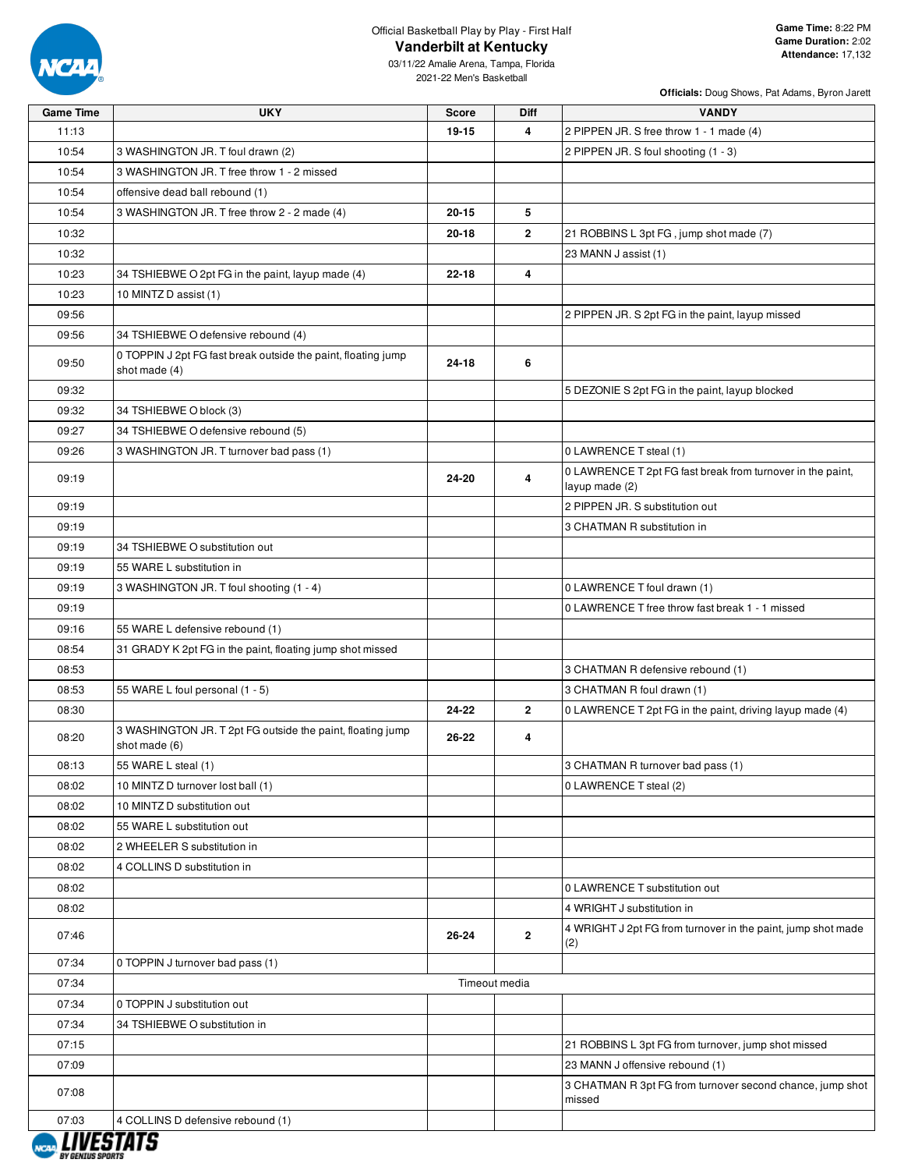

03/11/22 Amalie Arena, Tampa, Florida 2021-22 Men's Basketball

| <b>Game Time</b> | <b>UKY</b>                                                                     | <b>Score</b> | Diff           | <b>VANDY</b>                                                                 |
|------------------|--------------------------------------------------------------------------------|--------------|----------------|------------------------------------------------------------------------------|
| 11:13            |                                                                                | 19-15        | 4              | 2 PIPPEN JR. S free throw 1 - 1 made (4)                                     |
| 10:54            | 3 WASHINGTON JR. T foul drawn (2)                                              |              |                | 2 PIPPEN JR. S foul shooting (1 - 3)                                         |
| 10:54            | 3 WASHINGTON JR. T free throw 1 - 2 missed                                     |              |                |                                                                              |
| 10:54            | offensive dead ball rebound (1)                                                |              |                |                                                                              |
| 10:54            | 3 WASHINGTON JR. T free throw 2 - 2 made (4)                                   | $20 - 15$    | 5              |                                                                              |
| 10:32            |                                                                                | $20 - 18$    | $\overline{2}$ | 21 ROBBINS L 3pt FG, jump shot made (7)                                      |
| 10:32            |                                                                                |              |                | 23 MANN J assist (1)                                                         |
| 10:23            | 34 TSHIEBWE O 2pt FG in the paint, layup made (4)                              | $22 - 18$    | 4              |                                                                              |
| 10:23            | 10 MINTZ D assist (1)                                                          |              |                |                                                                              |
| 09:56            |                                                                                |              |                | 2 PIPPEN JR. S 2pt FG in the paint, layup missed                             |
| 09:56            | 34 TSHIEBWE O defensive rebound (4)                                            |              |                |                                                                              |
| 09:50            | 0 TOPPIN J 2pt FG fast break outside the paint, floating jump<br>shot made (4) | 24-18        | 6              |                                                                              |
| 09:32            |                                                                                |              |                | 5 DEZONIE S 2pt FG in the paint, layup blocked                               |
| 09:32            | 34 TSHIEBWE O block (3)                                                        |              |                |                                                                              |
| 09:27            | 34 TSHIEBWE O defensive rebound (5)                                            |              |                |                                                                              |
| 09:26            | 3 WASHINGTON JR. T turnover bad pass (1)                                       |              |                | 0 LAWRENCE T steal (1)                                                       |
| 09:19            |                                                                                | 24-20        | 4              | 0 LAWRENCE T 2pt FG fast break from turnover in the paint,<br>layup made (2) |
| 09:19            |                                                                                |              |                | 2 PIPPEN JR. S substitution out                                              |
| 09:19            |                                                                                |              |                | 3 CHATMAN R substitution in                                                  |
| 09:19            | 34 TSHIEBWE O substitution out                                                 |              |                |                                                                              |
| 09:19            | 55 WARE L substitution in                                                      |              |                |                                                                              |
| 09:19            | 3 WASHINGTON JR. T foul shooting (1 - 4)                                       |              |                | 0 LAWRENCE T foul drawn (1)                                                  |
| 09:19            |                                                                                |              |                | 0 LAWRENCE T free throw fast break 1 - 1 missed                              |
| 09:16            | 55 WARE L defensive rebound (1)                                                |              |                |                                                                              |
| 08:54            | 31 GRADY K 2pt FG in the paint, floating jump shot missed                      |              |                |                                                                              |
| 08:53            |                                                                                |              |                | 3 CHATMAN R defensive rebound (1)                                            |
| 08:53            | 55 WARE L foul personal (1 - 5)                                                |              |                | 3 CHATMAN R foul drawn (1)                                                   |
| 08:30            |                                                                                | 24-22        | $\mathbf{2}$   | 0 LAWRENCE T 2pt FG in the paint, driving layup made (4)                     |
| 08:20            | 3 WASHINGTON JR. T 2pt FG outside the paint, floating jump<br>shot made (6)    | 26-22        | 4              |                                                                              |
| 08:13            | 55 WARE L steal (1)                                                            |              |                | 3 CHATMAN R turnover bad pass (1)                                            |
| 08:02            | 10 MINTZ D turnover lost ball (1)                                              |              |                | 0 LAWRENCE T steal (2)                                                       |
| 08:02            | 10 MINTZ D substitution out                                                    |              |                |                                                                              |
| 08:02            | 55 WARE L substitution out                                                     |              |                |                                                                              |
| 08:02            | 2 WHEELER S substitution in                                                    |              |                |                                                                              |
| 08:02            | 4 COLLINS D substitution in                                                    |              |                |                                                                              |
| 08:02            |                                                                                |              |                | 0 LAWRENCE T substitution out                                                |
| 08:02            |                                                                                |              |                | 4 WRIGHT J substitution in                                                   |
| 07:46            |                                                                                | 26-24        | $\mathbf{2}$   | 4 WRIGHT J 2pt FG from turnover in the paint, jump shot made<br>(2)          |
| 07:34            | 0 TOPPIN J turnover bad pass (1)                                               |              |                |                                                                              |
| 07:34            |                                                                                |              | Timeout media  |                                                                              |
| 07:34            | 0 TOPPIN J substitution out                                                    |              |                |                                                                              |
| 07:34            | 34 TSHIEBWE O substitution in                                                  |              |                |                                                                              |
| 07:15            |                                                                                |              |                | 21 ROBBINS L 3pt FG from turnover, jump shot missed                          |
| 07:09            |                                                                                |              |                | 23 MANN J offensive rebound (1)                                              |
| 07:08            |                                                                                |              |                | 3 CHATMAN R 3pt FG from turnover second chance, jump shot<br>missed          |
| 07:03            | 4 COLLINS D defensive rebound (1)                                              |              |                |                                                                              |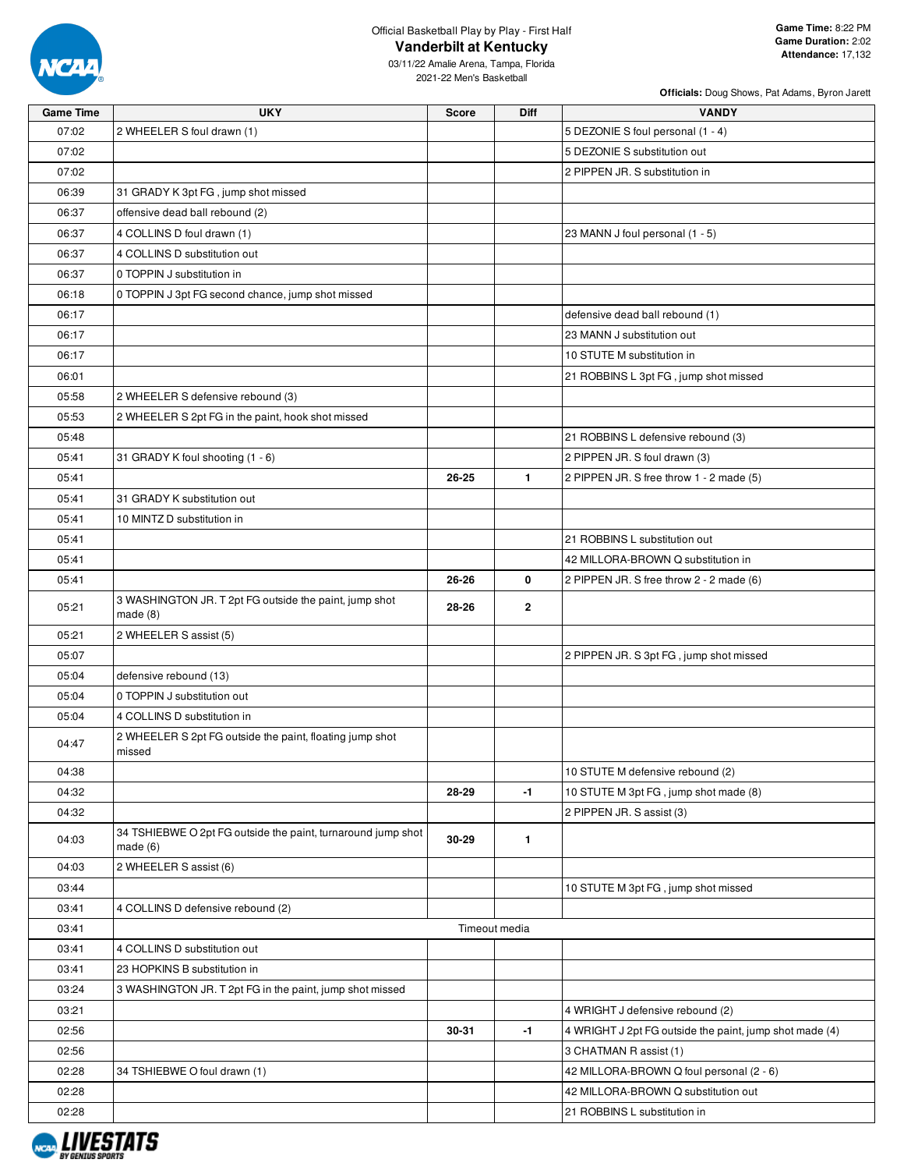

**Officials:** Doug Shows, Pat Adams, Byron Jarett

03/11/22 Amalie Arena, Tampa, Florida 2021-22 Men's Basketball

| <b>Game Time</b> | <b>UKY</b>                                                              | Score         | Diff         | <b>VANDY</b>                                            |
|------------------|-------------------------------------------------------------------------|---------------|--------------|---------------------------------------------------------|
| 07:02            | 2 WHEELER S foul drawn (1)                                              |               |              | 5 DEZONIE S foul personal (1 - 4)                       |
| 07:02            |                                                                         |               |              | 5 DEZONIE S substitution out                            |
| 07:02            |                                                                         |               |              | 2 PIPPEN JR. S substitution in                          |
| 06:39            | 31 GRADY K 3pt FG, jump shot missed                                     |               |              |                                                         |
| 06:37            | offensive dead ball rebound (2)                                         |               |              |                                                         |
| 06:37            | 4 COLLINS D foul drawn (1)                                              |               |              | 23 MANN J foul personal (1 - 5)                         |
| 06:37            | 4 COLLINS D substitution out                                            |               |              |                                                         |
| 06:37            | 0 TOPPIN J substitution in                                              |               |              |                                                         |
| 06:18            | 0 TOPPIN J 3pt FG second chance, jump shot missed                       |               |              |                                                         |
| 06:17            |                                                                         |               |              | defensive dead ball rebound (1)                         |
| 06:17            |                                                                         |               |              | 23 MANN J substitution out                              |
| 06:17            |                                                                         |               |              | 10 STUTE M substitution in                              |
| 06:01            |                                                                         |               |              | 21 ROBBINS L 3pt FG, jump shot missed                   |
| 05:58            | 2 WHEELER S defensive rebound (3)                                       |               |              |                                                         |
| 05:53            | 2 WHEELER S 2pt FG in the paint, hook shot missed                       |               |              |                                                         |
| 05:48            |                                                                         |               |              | 21 ROBBINS L defensive rebound (3)                      |
| 05:41            | 31 GRADY K foul shooting (1 - 6)                                        |               |              | 2 PIPPEN JR. S foul drawn (3)                           |
| 05:41            |                                                                         | 26-25         | $\mathbf{1}$ | 2 PIPPEN JR. S free throw 1 - 2 made (5)                |
| 05:41            | 31 GRADY K substitution out                                             |               |              |                                                         |
| 05:41            | 10 MINTZ D substitution in                                              |               |              |                                                         |
| 05:41            |                                                                         |               |              | 21 ROBBINS L substitution out                           |
| 05:41            |                                                                         |               |              | 42 MILLORA-BROWN Q substitution in                      |
| 05:41            |                                                                         | 26-26         | 0            | 2 PIPPEN JR. S free throw 2 - 2 made (6)                |
| 05:21            | 3 WASHINGTON JR. T 2pt FG outside the paint, jump shot<br>made (8)      | 28-26         | $\mathbf 2$  |                                                         |
| 05:21            | 2 WHEELER S assist (5)                                                  |               |              |                                                         |
| 05:07            |                                                                         |               |              | 2 PIPPEN JR. S 3pt FG, jump shot missed                 |
| 05:04            | defensive rebound (13)                                                  |               |              |                                                         |
| 05:04            | 0 TOPPIN J substitution out                                             |               |              |                                                         |
| 05:04            | 4 COLLINS D substitution in                                             |               |              |                                                         |
| 04:47            | 2 WHEELER S 2pt FG outside the paint, floating jump shot<br>missed      |               |              |                                                         |
| 04:38            |                                                                         |               |              | 10 STUTE M defensive rebound (2)                        |
| 04:32            |                                                                         | 28-29         | -1           | 10 STUTE M 3pt FG, jump shot made (8)                   |
| 04:32            |                                                                         |               |              | 2 PIPPEN JR. S assist (3)                               |
| 04:03            | 34 TSHIEBWE O 2pt FG outside the paint, turnaround jump shot<br>made(6) | 30-29         | $\mathbf{1}$ |                                                         |
| 04:03            | 2 WHEELER S assist (6)                                                  |               |              |                                                         |
| 03:44            |                                                                         |               |              | 10 STUTE M 3pt FG, jump shot missed                     |
| 03:41            | 4 COLLINS D defensive rebound (2)                                       |               |              |                                                         |
| 03:41            |                                                                         | Timeout media |              |                                                         |
| 03:41            | 4 COLLINS D substitution out                                            |               |              |                                                         |
| 03:41            | 23 HOPKINS B substitution in                                            |               |              |                                                         |
| 03:24            | 3 WASHINGTON JR. T 2pt FG in the paint, jump shot missed                |               |              |                                                         |
| 03:21            |                                                                         |               |              | 4 WRIGHT J defensive rebound (2)                        |
| 02:56            |                                                                         | 30-31         | $-1$         | 4 WRIGHT J 2pt FG outside the paint, jump shot made (4) |
| 02:56            |                                                                         |               |              | 3 CHATMAN R assist (1)                                  |
| 02:28            | 34 TSHIEBWE O foul drawn (1)                                            |               |              | 42 MILLORA-BROWN Q foul personal (2 - 6)                |
| 02:28            |                                                                         |               |              | 42 MILLORA-BROWN Q substitution out                     |
| 02:28            |                                                                         |               |              | 21 ROBBINS L substitution in                            |

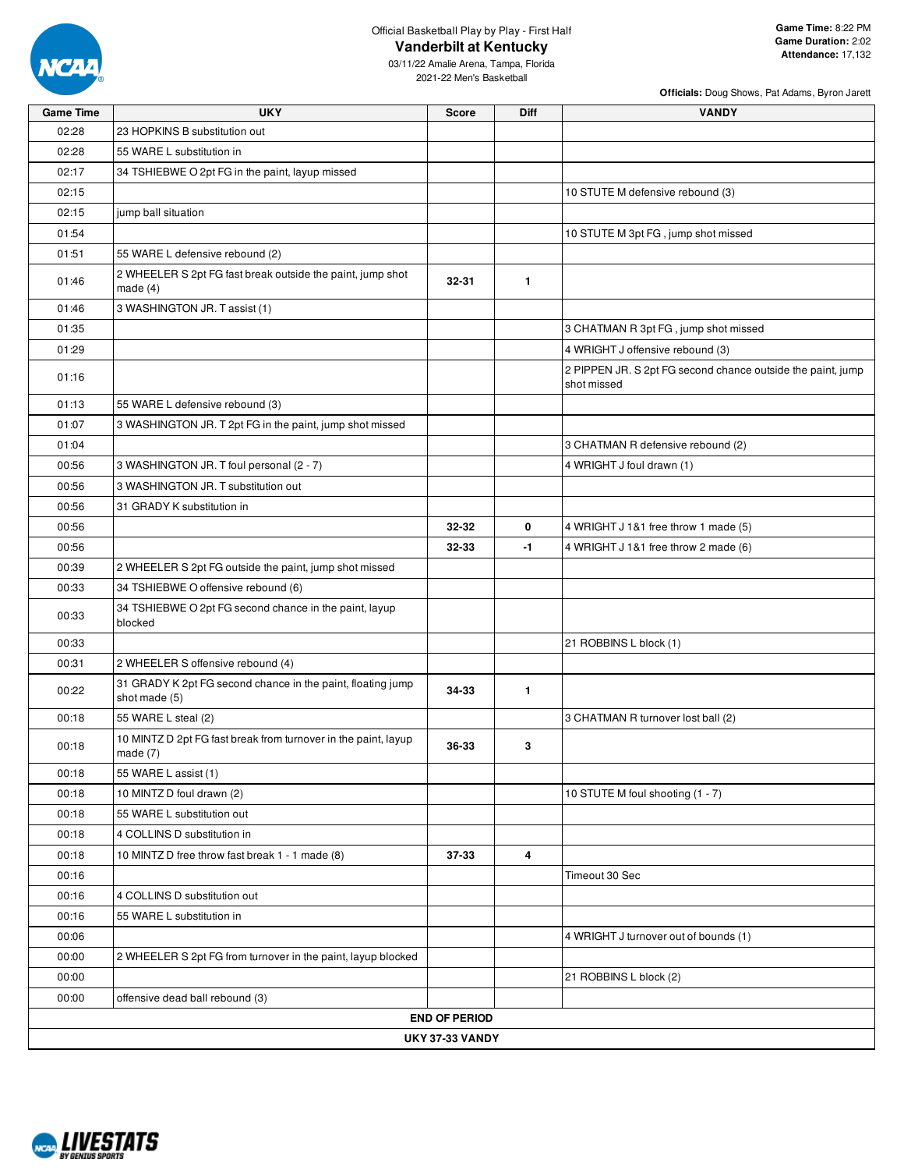

**Officials:** Doug Shows, Pat Adams, Byron Jarett

03/11/22 Amalie Arena, Tampa, Florida 2021-22 Men's Basketball

| <b>Game Time</b> | <b>UKY</b>                                                                   | <b>Score</b>         | <b>Diff</b>  | <b>VANDY</b>                                                               |
|------------------|------------------------------------------------------------------------------|----------------------|--------------|----------------------------------------------------------------------------|
| 02:28            | 23 HOPKINS B substitution out                                                |                      |              |                                                                            |
| 02:28            | 55 WARE L substitution in                                                    |                      |              |                                                                            |
| 02:17            | 34 TSHIEBWE O 2pt FG in the paint, layup missed                              |                      |              |                                                                            |
| 02:15            |                                                                              |                      |              | 10 STUTE M defensive rebound (3)                                           |
| 02:15            | jump ball situation                                                          |                      |              |                                                                            |
| 01:54            |                                                                              |                      |              | 10 STUTE M 3pt FG, jump shot missed                                        |
| 01:51            | 55 WARE L defensive rebound (2)                                              |                      |              |                                                                            |
| 01:46            | 2 WHEELER S 2pt FG fast break outside the paint, jump shot<br>made $(4)$     | 32-31                | $\mathbf{1}$ |                                                                            |
| 01:46            | 3 WASHINGTON JR. T assist (1)                                                |                      |              |                                                                            |
| 01:35            |                                                                              |                      |              | 3 CHATMAN R 3pt FG, jump shot missed                                       |
| 01:29            |                                                                              |                      |              | 4 WRIGHT J offensive rebound (3)                                           |
| 01:16            |                                                                              |                      |              | 2 PIPPEN JR. S 2pt FG second chance outside the paint, jump<br>shot missed |
| 01:13            | 55 WARE L defensive rebound (3)                                              |                      |              |                                                                            |
| 01:07            | 3 WASHINGTON JR. T 2pt FG in the paint, jump shot missed                     |                      |              |                                                                            |
| 01:04            |                                                                              |                      |              | 3 CHATMAN R defensive rebound (2)                                          |
| 00:56            | 3 WASHINGTON JR. T foul personal (2 - 7)                                     |                      |              | 4 WRIGHT J foul drawn (1)                                                  |
| 00:56            | 3 WASHINGTON JR. T substitution out                                          |                      |              |                                                                            |
| 00:56            | 31 GRADY K substitution in                                                   |                      |              |                                                                            |
| 00:56            |                                                                              | 32-32                | 0            | 4 WRIGHT J 1&1 free throw 1 made (5)                                       |
| 00:56            |                                                                              | 32-33                | -1           | 4 WRIGHT J 1&1 free throw 2 made (6)                                       |
| 00:39            | 2 WHEELER S 2pt FG outside the paint, jump shot missed                       |                      |              |                                                                            |
| 00:33            | 34 TSHIEBWE O offensive rebound (6)                                          |                      |              |                                                                            |
| 00:33            | 34 TSHIEBWE O 2pt FG second chance in the paint, layup<br>blocked            |                      |              |                                                                            |
| 00:33            |                                                                              |                      |              | 21 ROBBINS L block (1)                                                     |
| 00:31            | 2 WHEELER S offensive rebound (4)                                            |                      |              |                                                                            |
| 00:22            | 31 GRADY K 2pt FG second chance in the paint, floating jump<br>shot made (5) | 34-33                | $\mathbf{1}$ |                                                                            |
| 00:18            | 55 WARE L steal (2)                                                          |                      |              | 3 CHATMAN R turnover lost ball (2)                                         |
| 00:18            | 10 MINTZ D 2pt FG fast break from turnover in the paint, layup<br>made $(7)$ | 36-33                | 3            |                                                                            |
| 00:18            | 55 WARE L assist (1)                                                         |                      |              |                                                                            |
| 00:18            | 10 MINTZ D foul drawn (2)                                                    |                      |              | 10 STUTE M foul shooting (1 - 7)                                           |
| 00:18            | 55 WARE L substitution out                                                   |                      |              |                                                                            |
| 00:18            | 4 COLLINS D substitution in                                                  |                      |              |                                                                            |
| 00:18            | 10 MINTZ D free throw fast break 1 - 1 made (8)                              | 37-33                | 4            |                                                                            |
| 00:16            |                                                                              |                      |              | Timeout 30 Sec                                                             |
| 00:16            | 4 COLLINS D substitution out                                                 |                      |              |                                                                            |
| 00:16            | 55 WARE L substitution in                                                    |                      |              |                                                                            |
| 00:06            |                                                                              |                      |              | 4 WRIGHT J turnover out of bounds (1)                                      |
| 00:00            | 2 WHEELER S 2pt FG from turnover in the paint, layup blocked                 |                      |              |                                                                            |
| 00:00            |                                                                              |                      |              | 21 ROBBINS L block (2)                                                     |
| 00:00            | offensive dead ball rebound (3)                                              |                      |              |                                                                            |
|                  |                                                                              | <b>END OF PERIOD</b> |              |                                                                            |
|                  |                                                                              | UKY 37-33 VANDY      |              |                                                                            |

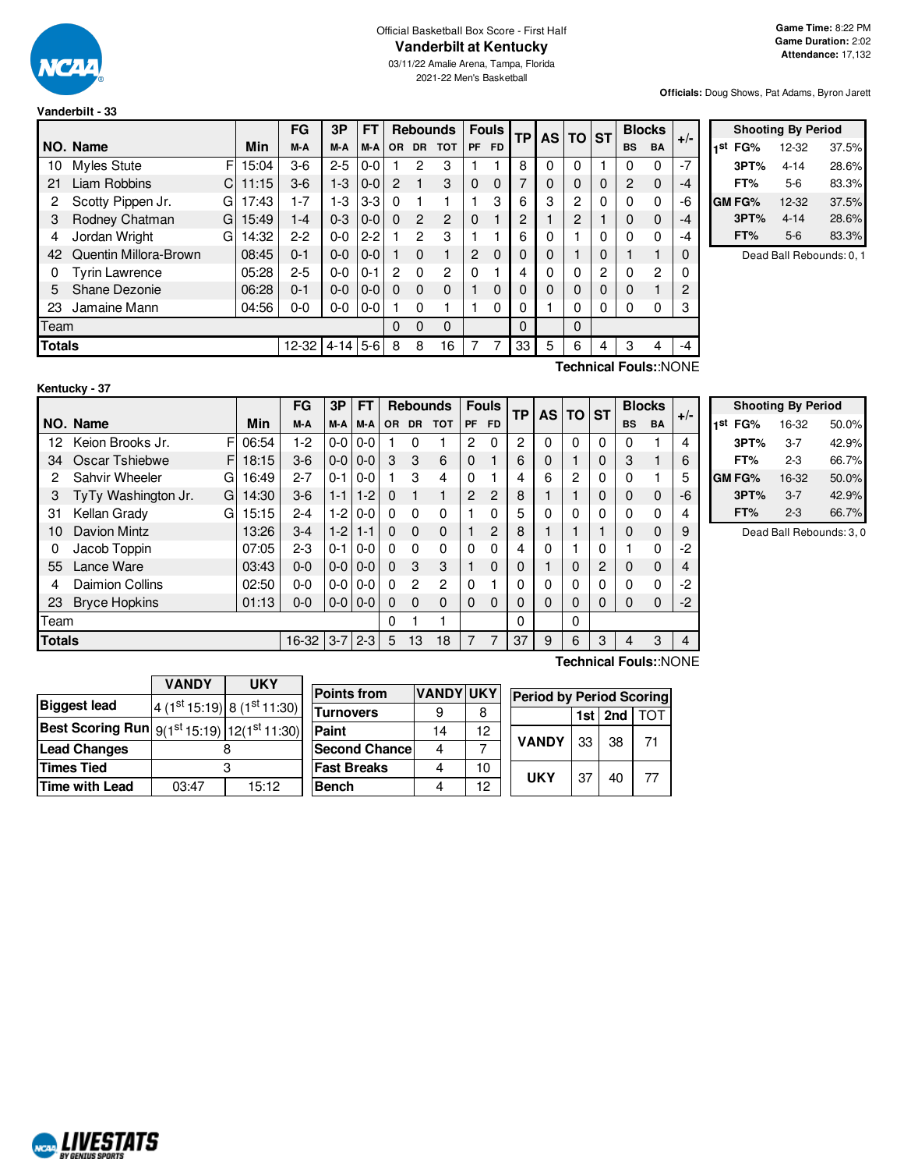

## Official Basketball Box Score - First Half **Vanderbilt at Kentucky**

03/11/22 Amalie Arena, Tampa, Florida 2021-22 Men's Basketball

**Officials:** Doug Shows, Pat Adams, Byron Jarett

| Vanderbilt - 33 |  |  |
|-----------------|--|--|
|                 |  |  |

|               |                       |            | FG        | 3P       | <b>FT</b> |             |               | <b>Rebounds</b> |           | <b>Fouls</b> | <b>TP</b> |          | AS TO ST |          | <b>Blocks</b>  |           | $+/-$          |  |
|---------------|-----------------------|------------|-----------|----------|-----------|-------------|---------------|-----------------|-----------|--------------|-----------|----------|----------|----------|----------------|-----------|----------------|--|
|               | NO. Name              | <b>Min</b> | M-A       | M-A      | M-A       | <b>OR</b>   | <b>DR</b>     | <b>TOT</b>      | <b>PF</b> | <b>FD</b>    |           |          |          |          | <b>BS</b>      | <b>BA</b> |                |  |
| 10            | <b>Myles Stute</b>    | F<br>15:04 | $3-6$     | $2 - 5$  | $0 - 0$   |             | 2             | 3               |           |              | 8         | 0        | 0        |          | 0              | 0         | $-7$           |  |
| 21            | Liam Robbins          | C<br>11:15 | $3-6$     | $1 - 3$  | $0 - 0$   | 2           |               | 3               | 0         | $\Omega$     | 7         | 0        |          | $\Omega$ | $\overline{2}$ | $\Omega$  | $-4$           |  |
| 2             | Scotty Pippen Jr.     | 17:43<br>G | $ -7$     | $1-3$    | $3-3$     | $\Omega$    |               |                 |           | 3            | 6         | 3        | 2        | $\Omega$ | 0              | 0         | -6             |  |
| 3             | Rodney Chatman        | 15:49<br>G | $1 - 4$   | $0 - 3$  | $0 - 0$   | $\Omega$    | $\mathcal{P}$ | $\mathcal{P}$   | 0         |              | 2         |          | 2        |          | 0              | $\Omega$  | $-4$           |  |
| 4             | Jordan Wright         | 14:32<br>G | $2-2$     | $0 - 0$  | $2 - 2$   |             | 2             | 3               |           |              | 6         | 0        |          | 0        | 0              | 0         | $-4$           |  |
| 42            | Quentin Millora-Brown | 08:45      | $0 - 1$   | $0 - 0$  | $0-0$     |             | $\Omega$      |                 | 2         | $\Omega$     |           | 0        |          | $\Omega$ |                |           | $\Omega$       |  |
| 0             | Tyrin Lawrence        | 05:28      | $2 - 5$   | $0 - 0$  | $0 - 1$   | 2           | $\Omega$      | 2               | $\Omega$  |              | 4         | 0        | 0        | 2        | 0              | 2         | $\Omega$       |  |
| 5             | Shane Dezonie         | 06:28      | $0 - 1$   | $0 - 0$  | $0-0$     | $\Omega$    | $\Omega$      | $\Omega$        |           | 0            |           | $\Omega$ |          | $\Omega$ | $\Omega$       |           | $\overline{2}$ |  |
| 23            | Jamaine Mann          | 04:56      | 0-0       | 0-0      | $0-0$     |             | $\Omega$      |                 |           | 0            | 0         |          | 0        | 0        | 0              | 0         | 3              |  |
| Team          |                       |            |           |          |           | $\mathbf 0$ | $\Omega$      | $\Omega$        |           |              | $\Omega$  |          | $\Omega$ |          |                |           |                |  |
| <b>Totals</b> |                       |            | $12 - 32$ | $4 - 14$ | $5-6$     | 8           | 8             | 16              |           | 7            | 33        | 5        | 6        | 4        | З              | 4         | $-4$           |  |

|     | <b>Shooting By Period</b> |          |       |  |  |  |  |  |  |
|-----|---------------------------|----------|-------|--|--|--|--|--|--|
| 1st | FG%                       | 12-32    | 37.5% |  |  |  |  |  |  |
|     | 3PT%                      | 4-14     | 28.6% |  |  |  |  |  |  |
|     | FT%                       | $5-6$    | 83.3% |  |  |  |  |  |  |
|     | GM FG%                    | 12-32    | 37.5% |  |  |  |  |  |  |
|     | 3PT%                      | $4 - 14$ | 28.6% |  |  |  |  |  |  |
|     | FT%                       | $5-6$    | 83.3% |  |  |  |  |  |  |

Dead Ball Rebounds: 0, 1

|    | Kentucky - 37         |  |          |         |                |  |  |  |  |  |  |
|----|-----------------------|--|----------|---------|----------------|--|--|--|--|--|--|
|    |                       |  |          | FG      | $\ddot{\cdot}$ |  |  |  |  |  |  |
|    | NO. Name              |  | Min      | M-A     | $\overline{N}$ |  |  |  |  |  |  |
|    | 12 Keion Brooks Jr.   |  | FI 06:54 | $1 - 2$ | $\mathfrak{c}$ |  |  |  |  |  |  |
| 34 | Oscar Tshiebwe        |  | F1 18:15 | $3-6$   | $\mathsf{C}$   |  |  |  |  |  |  |
|    | <b>Sahvir Wheeler</b> |  | 16:49    | $2 - 7$ | l (            |  |  |  |  |  |  |

|    |                           |       | FG      | 3Р              | FТ              |     |           | <b>Rebounds</b> |    | <b>Fouls</b> | TР | AS I | <b>TO ST</b> |   | <b>Blocks</b> |          | $+/-$ |
|----|---------------------------|-------|---------|-----------------|-----------------|-----|-----------|-----------------|----|--------------|----|------|--------------|---|---------------|----------|-------|
|    | NO. Name                  | Min   | M-A     |                 | M-A M-A         | OR. | <b>DR</b> | <b>TOT</b>      | PF | <b>FD</b>    |    |      |              |   | <b>BS</b>     | BA       |       |
| 12 | Keion Brooks Jr.          | 06:54 | 1-2     | $0 - 0 1 0 - 0$ |                 |     |           |                 | 2  | 0            | 2  |      | 0            | 0 | $\Omega$      |          | 4     |
| 34 | Oscar Tshiebwe<br>FI      | 18:15 | $3-6$   |                 | $0 - 0 0 - 0$   | З   | 3         | 6               |    |              | 6  |      |              | 0 | З             |          | 6     |
| 2  | Sahvir Wheeler<br>G.      | 16:49 | $2 - 7$ | $0 - 1$         | $0-0$           |     | 3         | 4               |    |              | 4  | 6    | 2            | 0 |               |          | 5     |
| 3  | TyTy Washington Jr.<br>GI | 14:30 | $3-6$   | $1 - 1$         | $1 - 2$         |     |           |                 | 2  | 2            | 8  |      |              | 0 |               | $\Omega$ | -6    |
| 31 | Kellan Grady<br>G.        | 15:15 | $2 - 4$ | $1-2$           | $0 - 0$         |     |           | 0               |    | 0            | 5  | 0    |              | 0 |               | 0        | 4     |
| 10 | Davion Mintz              | 13:26 | $3 - 4$ | $1 - 2$         | 1-1             |     | 0         | 0               |    | 2            | 8  |      |              |   |               | $\Omega$ | 9     |
| 0  | Jacob Toppin              | 07:05 | $2 - 3$ | $0 - 1$         | $0-0$           |     | 0         | 0               |    | 0            | 4  | 0    |              | 0 |               | 0        | $-2$  |
| 55 | Lance Ware                | 03:43 | $0 - 0$ |                 | $0 - 0 1 0 - 0$ |     | 3         | 3               |    | 0            | 0  |      |              | 2 |               | 0        | 4     |

| <b>Shooting By Period</b> |         |       |  |  |  |  |  |  |
|---------------------------|---------|-------|--|--|--|--|--|--|
| 1st<br>FG%                | 16-32   | 50.0% |  |  |  |  |  |  |
| 3PT%                      | $3 - 7$ | 42.9% |  |  |  |  |  |  |
| FT%                       | $2 - 3$ | 66.7% |  |  |  |  |  |  |
| GM FG%                    | 16-32   | 50.0% |  |  |  |  |  |  |
| 3PT%                      | $3 - 7$ | 42.9% |  |  |  |  |  |  |
| FT%                       | $2 - 3$ | 66.7% |  |  |  |  |  |  |

Dead Ball Rebounds: 3, 0

|       |              |                    |                                                                                                                                                    |                       |                       |                            |          | TOT                                                        |  |
|-------|--------------|--------------------|----------------------------------------------------------------------------------------------------------------------------------------------------|-----------------------|-----------------------|----------------------------|----------|------------------------------------------------------------|--|
|       |              | <b>Paint</b>       | 14                                                                                                                                                 | 12                    |                       |                            |          |                                                            |  |
|       |              |                    |                                                                                                                                                    |                       |                       |                            |          | 71                                                         |  |
|       |              | <b>Fast Breaks</b> |                                                                                                                                                    | 10                    |                       |                            |          | 77                                                         |  |
| 03:47 | 15:12        | <b>Bench</b>       |                                                                                                                                                    | 12                    |                       |                            |          |                                                            |  |
|       | <b>VANDY</b> | <b>UKY</b>         | <b>Points from</b><br>$4(1st15:19) 8(1st11:30)$<br><b>Turnovers</b><br><b>Best Scoring Run</b> 9(1 <sup>st</sup> 15:19)  12(1 <sup>st</sup> 11:30) | <b>Second Chancel</b> | <b>VANDYIUKY</b><br>8 | <b>VANDY</b><br><b>UKY</b> | 33<br>37 | <b>Period by Period Scoring</b><br>$1st$   2nd<br>38<br>40 |  |

Team | 0 1 1 | | 0 | | 0

4 Daimion Collins 02:50 0-0 0-0 0-0 0 2 2 0 1 0 0 0 0 0 0 -2 23 Bryce Hopkins 01:13 0-0 0-0 0-0 0 0 0 0 0 0 0 0 0 0 0 -2

**Totals** 16-32 3-7 2-3 5 13 18 7 7 37 9 6 3 4 3 4

**Technical Fouls:**:NONE

**Technical Fouls:**:NONE

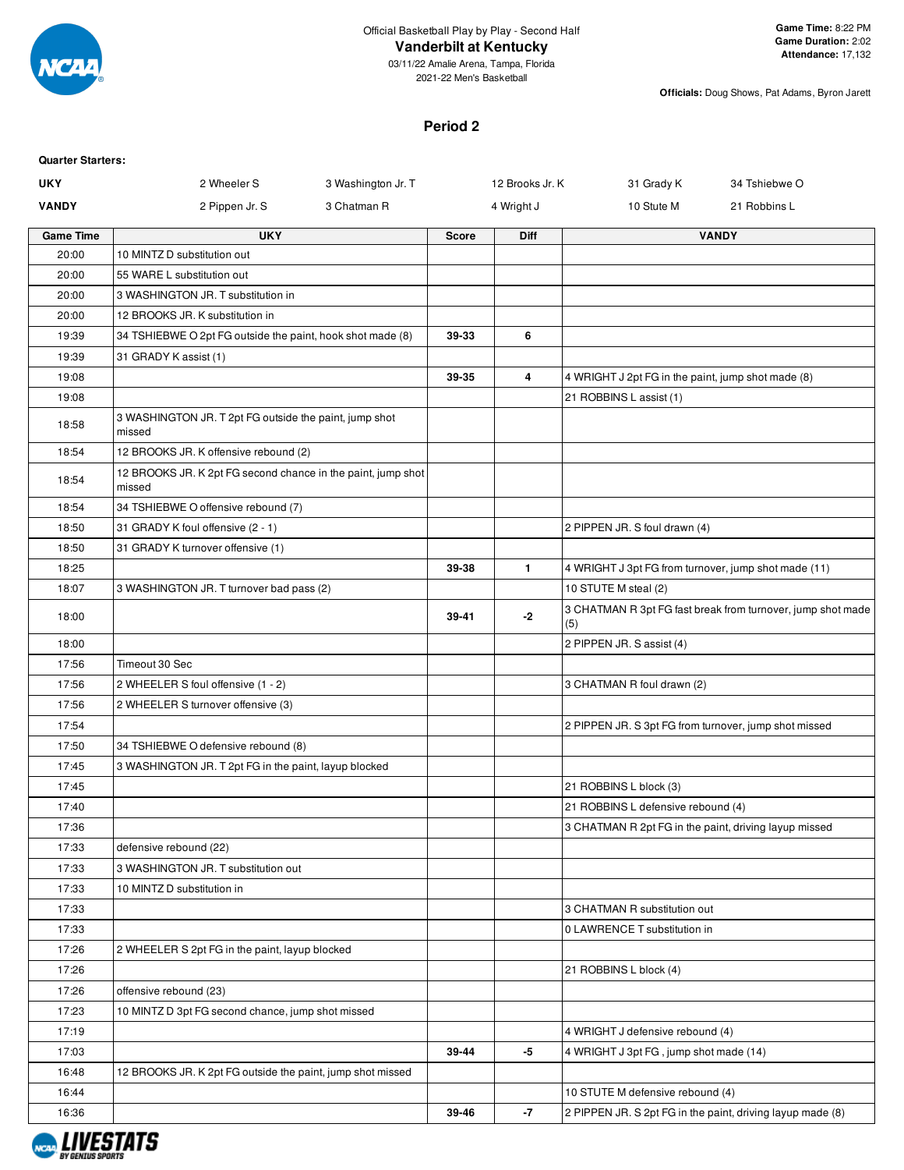

2021-22 Men's Basketball

**Officials:** Doug Shows, Pat Adams, Byron Jarett

## **Period 2**

| <b>Quarter Starters:</b> |                                                                        |                    |              |                 |                                                            |                                                             |
|--------------------------|------------------------------------------------------------------------|--------------------|--------------|-----------------|------------------------------------------------------------|-------------------------------------------------------------|
| <b>UKY</b>               | 2 Wheeler S                                                            | 3 Washington Jr. T |              | 12 Brooks Jr. K | 31 Grady K                                                 | 34 Tshiebwe O                                               |
| <b>VANDY</b>             | 2 Pippen Jr. S                                                         | 3 Chatman R        |              | 4 Wright J      | 10 Stute M                                                 | 21 Robbins L                                                |
| <b>Game Time</b>         | <b>UKY</b>                                                             |                    | <b>Score</b> | Diff            |                                                            | <b>VANDY</b>                                                |
| 20:00                    | 10 MINTZ D substitution out                                            |                    |              |                 |                                                            |                                                             |
| 20:00                    | 55 WARE L substitution out                                             |                    |              |                 |                                                            |                                                             |
| 20:00                    | 3 WASHINGTON JR. T substitution in                                     |                    |              |                 |                                                            |                                                             |
| 20:00                    | 12 BROOKS JR. K substitution in                                        |                    |              |                 |                                                            |                                                             |
| 19:39                    | 34 TSHIEBWE O 2pt FG outside the paint, hook shot made (8)             |                    | 39-33        | 6               |                                                            |                                                             |
| 19:39                    | 31 GRADY K assist (1)                                                  |                    |              |                 |                                                            |                                                             |
| 19:08                    |                                                                        |                    | 39-35        | $\overline{4}$  | 4 WRIGHT J 2pt FG in the paint, jump shot made (8)         |                                                             |
| 19:08                    |                                                                        |                    |              |                 | 21 ROBBINS L assist (1)                                    |                                                             |
| 18:58                    | 3 WASHINGTON JR. T 2pt FG outside the paint, jump shot<br>missed       |                    |              |                 |                                                            |                                                             |
| 18:54                    | 12 BROOKS JR. K offensive rebound (2)                                  |                    |              |                 |                                                            |                                                             |
| 18:54                    | 12 BROOKS JR. K 2pt FG second chance in the paint, jump shot<br>missed |                    |              |                 |                                                            |                                                             |
| 18:54                    | 34 TSHIEBWE O offensive rebound (7)                                    |                    |              |                 |                                                            |                                                             |
| 18:50                    | 31 GRADY K foul offensive (2 - 1)                                      |                    |              |                 | 2 PIPPEN JR. S foul drawn (4)                              |                                                             |
| 18:50                    | 31 GRADY K turnover offensive (1)                                      |                    |              |                 |                                                            |                                                             |
| 18:25                    |                                                                        |                    | 39-38        | $\mathbf{1}$    | 4 WRIGHT J 3pt FG from turnover, jump shot made (11)       |                                                             |
| 18:07                    | 3 WASHINGTON JR. T turnover bad pass (2)                               |                    |              |                 | 10 STUTE M steal (2)                                       |                                                             |
| 18:00                    |                                                                        |                    | 39-41        | $-2$            | (5)                                                        | 3 CHATMAN R 3pt FG fast break from turnover, jump shot made |
| 18:00                    |                                                                        |                    |              |                 | 2 PIPPEN JR. S assist (4)                                  |                                                             |
| 17:56                    | Timeout 30 Sec                                                         |                    |              |                 |                                                            |                                                             |
| 17:56                    | 2 WHEELER S foul offensive (1 - 2)                                     |                    |              |                 | 3 CHATMAN R foul drawn (2)                                 |                                                             |
| 17:56                    | 2 WHEELER S turnover offensive (3)                                     |                    |              |                 |                                                            |                                                             |
| 17:54                    |                                                                        |                    |              |                 | 2 PIPPEN JR. S 3pt FG from turnover, jump shot missed      |                                                             |
| 17:50                    | 34 TSHIEBWE O defensive rebound (8)                                    |                    |              |                 |                                                            |                                                             |
| 17:45                    | 3 WASHINGTON JR. T 2pt FG in the paint, layup blocked                  |                    |              |                 |                                                            |                                                             |
| 17:45                    |                                                                        |                    |              |                 | 21 ROBBINS L block (3)                                     |                                                             |
| 17:40                    |                                                                        |                    |              |                 | 21 ROBBINS L defensive rebound (4)                         |                                                             |
| 17:36                    |                                                                        |                    |              |                 | 3 CHATMAN R 2pt FG in the paint, driving layup missed      |                                                             |
| 17:33                    | defensive rebound (22)                                                 |                    |              |                 |                                                            |                                                             |
| 17:33                    | 3 WASHINGTON JR. T substitution out                                    |                    |              |                 |                                                            |                                                             |
| 17:33                    | 10 MINTZ D substitution in                                             |                    |              |                 |                                                            |                                                             |
| 17:33                    |                                                                        |                    |              |                 | 3 CHATMAN R substitution out                               |                                                             |
| 17:33                    |                                                                        |                    |              |                 | 0 LAWRENCE T substitution in                               |                                                             |
| 17:26                    | 2 WHEELER S 2pt FG in the paint, layup blocked                         |                    |              |                 |                                                            |                                                             |
| 17:26                    |                                                                        |                    |              |                 | 21 ROBBINS L block (4)                                     |                                                             |
| 17:26                    | offensive rebound (23)                                                 |                    |              |                 |                                                            |                                                             |
| 17:23                    | 10 MINTZ D 3pt FG second chance, jump shot missed                      |                    |              |                 |                                                            |                                                             |
| 17:19                    |                                                                        |                    |              |                 | 4 WRIGHT J defensive rebound (4)                           |                                                             |
| 17:03                    |                                                                        |                    | 39-44        | $-5$            | 4 WRIGHT J 3pt FG, jump shot made (14)                     |                                                             |
| 16:48                    | 12 BROOKS JR. K 2pt FG outside the paint, jump shot missed             |                    |              |                 |                                                            |                                                             |
| 16:44                    |                                                                        |                    |              |                 | 10 STUTE M defensive rebound (4)                           |                                                             |
| 16:36                    |                                                                        |                    | 39-46        | $-7$            | 2 PIPPEN JR. S 2pt FG in the paint, driving layup made (8) |                                                             |
|                          |                                                                        |                    |              |                 |                                                            |                                                             |

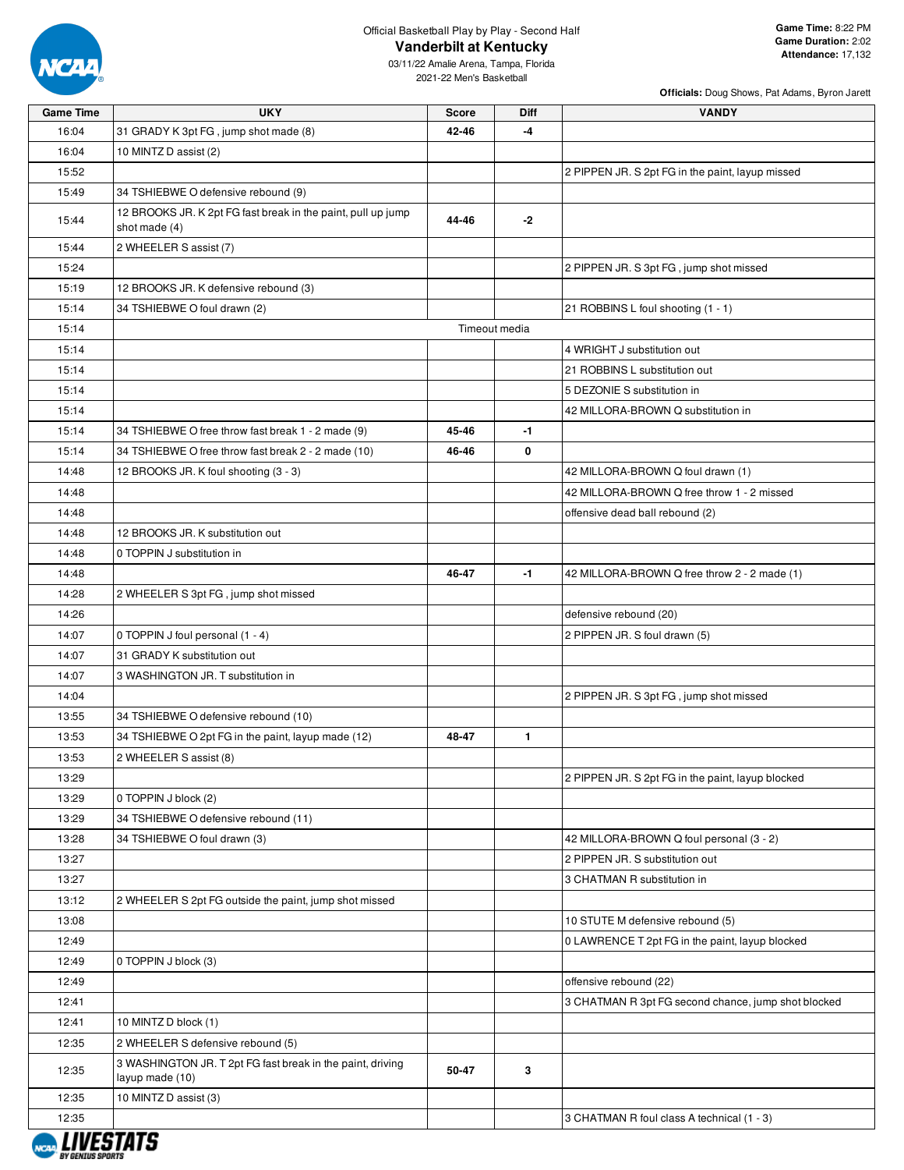

03/11/22 Amalie Arena, Tampa, Florida 2021-22 Men's Basketball

| <b>Game Time</b> | <b>UKY</b>                                                                    | <b>Score</b> | <b>Diff</b>   | <b>VANDY</b>                                        |
|------------------|-------------------------------------------------------------------------------|--------------|---------------|-----------------------------------------------------|
| 16:04            | 31 GRADY K 3pt FG, jump shot made (8)                                         | 42-46        | -4            |                                                     |
| 16:04            | 10 MINTZ D assist (2)                                                         |              |               |                                                     |
| 15:52            |                                                                               |              |               | 2 PIPPEN JR. S 2pt FG in the paint, layup missed    |
| 15:49            | 34 TSHIEBWE O defensive rebound (9)                                           |              |               |                                                     |
| 15:44            | 12 BROOKS JR. K 2pt FG fast break in the paint, pull up jump<br>shot made (4) | 44-46        | $-2$          |                                                     |
| 15:44            | 2 WHEELER S assist (7)                                                        |              |               |                                                     |
| 15:24            |                                                                               |              |               | 2 PIPPEN JR. S 3pt FG, jump shot missed             |
| 15:19            | 12 BROOKS JR. K defensive rebound (3)                                         |              |               |                                                     |
| 15:14            | 34 TSHIEBWE O foul drawn (2)                                                  |              |               | 21 ROBBINS L foul shooting (1 - 1)                  |
| 15:14            |                                                                               |              | Timeout media |                                                     |
| 15:14            |                                                                               |              |               | 4 WRIGHT J substitution out                         |
| 15:14            |                                                                               |              |               | 21 ROBBINS L substitution out                       |
| 15:14            |                                                                               |              |               | 5 DEZONIE S substitution in                         |
| 15:14            |                                                                               |              |               | 42 MILLORA-BROWN Q substitution in                  |
| 15:14            | 34 TSHIEBWE O free throw fast break 1 - 2 made (9)                            | 45-46        | $-1$          |                                                     |
|                  |                                                                               |              |               |                                                     |
| 15:14            | 34 TSHIEBWE O free throw fast break 2 - 2 made (10)                           | 46-46        | 0             |                                                     |
| 14:48            | 12 BROOKS JR. K foul shooting (3 - 3)                                         |              |               | 42 MILLORA-BROWN Q foul drawn (1)                   |
| 14:48            |                                                                               |              |               | 42 MILLORA-BROWN Q free throw 1 - 2 missed          |
| 14:48            |                                                                               |              |               | offensive dead ball rebound (2)                     |
| 14:48            | 12 BROOKS JR. K substitution out                                              |              |               |                                                     |
| 14:48            | 0 TOPPIN J substitution in                                                    |              |               |                                                     |
| 14:48            |                                                                               | 46-47        | $-1$          | 42 MILLORA-BROWN Q free throw 2 - 2 made (1)        |
| 14:28            | 2 WHEELER S 3pt FG, jump shot missed                                          |              |               |                                                     |
| 14:26            |                                                                               |              |               | defensive rebound (20)                              |
| 14:07            | 0 TOPPIN J foul personal (1 - 4)                                              |              |               | 2 PIPPEN JR. S foul drawn (5)                       |
| 14:07            | 31 GRADY K substitution out                                                   |              |               |                                                     |
| 14:07            | 3 WASHINGTON JR. T substitution in                                            |              |               |                                                     |
| 14:04            |                                                                               |              |               | 2 PIPPEN JR. S 3pt FG, jump shot missed             |
| 13:55            | 34 TSHIEBWE O defensive rebound (10)                                          |              |               |                                                     |
| 13:53            | 34 TSHIEBWE O 2pt FG in the paint, layup made (12)                            | 48-47        | $\mathbf{1}$  |                                                     |
| 13:53            | 2 WHEELER S assist (8)                                                        |              |               |                                                     |
| 13:29            |                                                                               |              |               | 2 PIPPEN JR. S 2pt FG in the paint, layup blocked   |
| 13:29            | 0 TOPPIN J block (2)                                                          |              |               |                                                     |
| 13:29            | 34 TSHIEBWE O defensive rebound (11)                                          |              |               |                                                     |
| 13:28            | 34 TSHIEBWE O foul drawn (3)                                                  |              |               | 42 MILLORA-BROWN Q foul personal (3 - 2)            |
| 13:27            |                                                                               |              |               | 2 PIPPEN JR. S substitution out                     |
| 13:27            |                                                                               |              |               | 3 CHATMAN R substitution in                         |
| 13:12            | 2 WHEELER S 2pt FG outside the paint, jump shot missed                        |              |               |                                                     |
| 13:08            |                                                                               |              |               | 10 STUTE M defensive rebound (5)                    |
| 12:49            |                                                                               |              |               | 0 LAWRENCE T 2pt FG in the paint, layup blocked     |
|                  |                                                                               |              |               |                                                     |
| 12:49            | 0 TOPPIN J block (3)                                                          |              |               |                                                     |
| 12:49            |                                                                               |              |               | offensive rebound (22)                              |
| 12:41            |                                                                               |              |               | 3 CHATMAN R 3pt FG second chance, jump shot blocked |
| 12:41            | 10 MINTZ D block (1)                                                          |              |               |                                                     |
| 12:35            | 2 WHEELER S defensive rebound (5)                                             |              |               |                                                     |
| 12:35            | 3 WASHINGTON JR. T 2pt FG fast break in the paint, driving<br>layup made (10) | 50-47        | 3             |                                                     |
| 12:35            | 10 MINTZ D assist (3)                                                         |              |               |                                                     |
| 12:35            |                                                                               |              |               | 3 CHATMAN R foul class A technical (1 - 3)          |

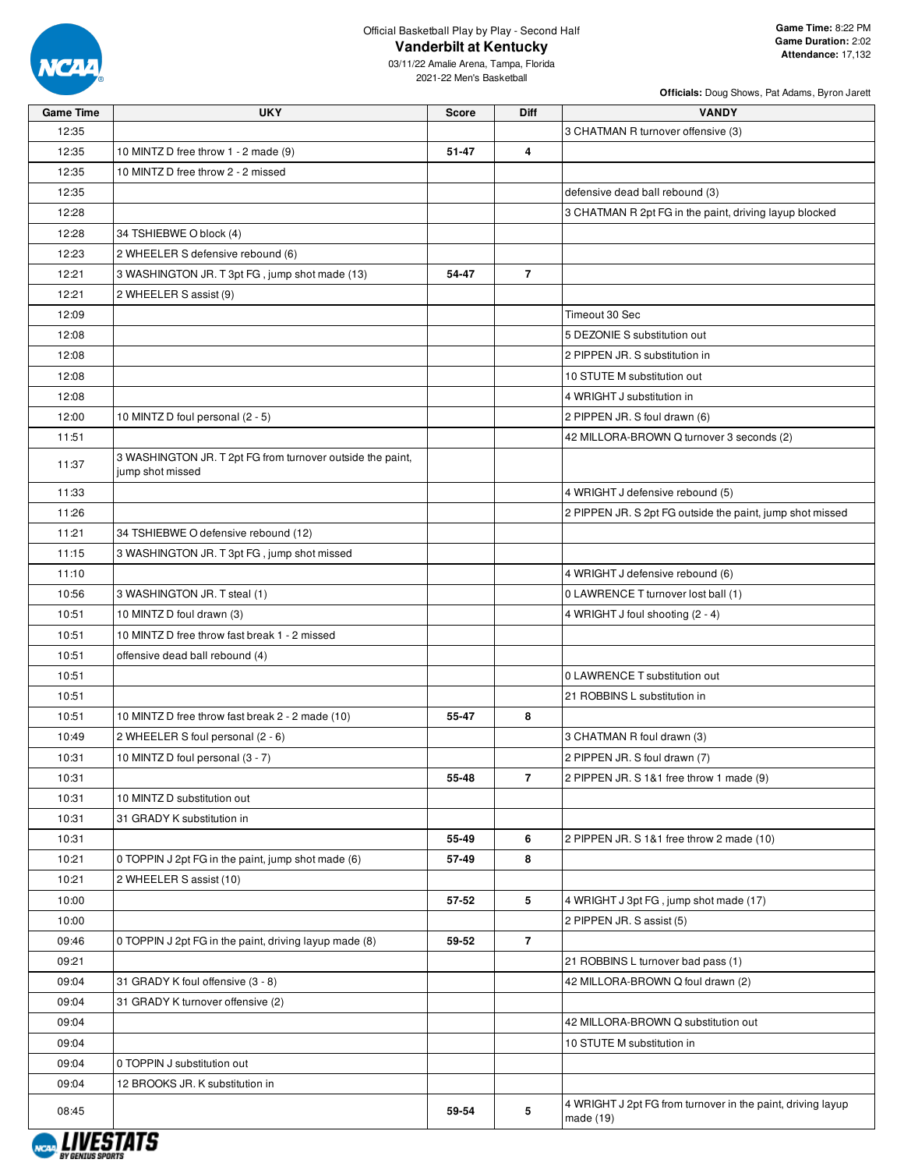

03/11/22 Amalie Arena, Tampa, Florida 2021-22 Men's Basketball

| <b>Officials:</b> Doug Shows, Pat Adams, Byron Jarett |  |  |
|-------------------------------------------------------|--|--|
|-------------------------------------------------------|--|--|

| <b>Game Time</b> | <b>UKY</b>                                                 | <b>Score</b> | <b>Diff</b>    | <b>VANDY</b>                                                |
|------------------|------------------------------------------------------------|--------------|----------------|-------------------------------------------------------------|
| 12:35            |                                                            |              |                | 3 CHATMAN R turnover offensive (3)                          |
| 12:35            | 10 MINTZ D free throw 1 - 2 made (9)                       | 51-47        | 4              |                                                             |
| 12:35            | 10 MINTZ D free throw 2 - 2 missed                         |              |                |                                                             |
| 12:35            |                                                            |              |                | defensive dead ball rebound (3)                             |
| 12:28            |                                                            |              |                | 3 CHATMAN R 2pt FG in the paint, driving layup blocked      |
| 12:28            | 34 TSHIEBWE O block (4)                                    |              |                |                                                             |
| 12:23            | 2 WHEELER S defensive rebound (6)                          |              |                |                                                             |
| 12:21            | 3 WASHINGTON JR. T 3pt FG, jump shot made (13)             | 54-47        | $\overline{7}$ |                                                             |
| 12:21            | 2 WHEELER S assist (9)                                     |              |                |                                                             |
| 12:09            |                                                            |              |                | Timeout 30 Sec                                              |
| 12:08            |                                                            |              |                | 5 DEZONIE S substitution out                                |
| 12:08            |                                                            |              |                | 2 PIPPEN JR. S substitution in                              |
| 12:08            |                                                            |              |                | 10 STUTE M substitution out                                 |
| 12:08            |                                                            |              |                | 4 WRIGHT J substitution in                                  |
| 12:00            | 10 MINTZ D foul personal (2 - 5)                           |              |                | 2 PIPPEN JR. S foul drawn (6)                               |
| 11:51            |                                                            |              |                | 42 MILLORA-BROWN Q turnover 3 seconds (2)                   |
|                  | 3 WASHINGTON JR. T 2pt FG from turnover outside the paint, |              |                |                                                             |
| 11:37            | jump shot missed                                           |              |                |                                                             |
| 11:33            |                                                            |              |                | 4 WRIGHT J defensive rebound (5)                            |
| 11:26            |                                                            |              |                | 2 PIPPEN JR. S 2pt FG outside the paint, jump shot missed   |
| 11:21            | 34 TSHIEBWE O defensive rebound (12)                       |              |                |                                                             |
| 11:15            | 3 WASHINGTON JR. T 3pt FG, jump shot missed                |              |                |                                                             |
| 11:10            |                                                            |              |                | 4 WRIGHT J defensive rebound (6)                            |
| 10:56            | 3 WASHINGTON JR. T steal (1)                               |              |                | 0 LAWRENCE T turnover lost ball (1)                         |
| 10:51            | 10 MINTZ D foul drawn (3)                                  |              |                | 4 WRIGHT J foul shooting (2 - 4)                            |
| 10:51            | 10 MINTZ D free throw fast break 1 - 2 missed              |              |                |                                                             |
| 10:51            | offensive dead ball rebound (4)                            |              |                |                                                             |
| 10:51            |                                                            |              |                | 0 LAWRENCE T substitution out                               |
| 10:51            |                                                            |              |                | 21 ROBBINS L substitution in                                |
| 10:51            | 10 MINTZ D free throw fast break 2 - 2 made (10)           | 55-47        | 8              |                                                             |
| 10:49            | 2 WHEELER S foul personal (2 - 6)                          |              |                | 3 CHATMAN R foul drawn (3)                                  |
| 10:31            | 10 MINTZ D foul personal (3 - 7)                           |              |                | 2 PIPPEN JR. S foul drawn (7)                               |
| 10:31            |                                                            | 55-48        | $\overline{7}$ | 2 PIPPEN JR. S 1&1 free throw 1 made (9)                    |
| 10:31            | 10 MINTZ D substitution out                                |              |                |                                                             |
| 10:31            | 31 GRADY K substitution in                                 |              |                |                                                             |
| 10:31            |                                                            | 55-49        | 6              | 2 PIPPEN JR. S 1&1 free throw 2 made (10)                   |
| 10:21            | 0 TOPPIN J 2pt FG in the paint, jump shot made (6)         | 57-49        | 8              |                                                             |
| 10:21            | 2 WHEELER S assist (10)                                    |              |                |                                                             |
| 10:00            |                                                            | 57-52        | 5              | 4 WRIGHT J 3pt FG, jump shot made (17)                      |
| 10:00            |                                                            |              |                | 2 PIPPEN JR. S assist (5)                                   |
| 09:46            | 0 TOPPIN J 2pt FG in the paint, driving layup made (8)     | 59-52        | $\overline{7}$ |                                                             |
| 09:21            |                                                            |              |                | 21 ROBBINS L turnover bad pass (1)                          |
| 09:04            | 31 GRADY K foul offensive (3 - 8)                          |              |                | 42 MILLORA-BROWN Q foul drawn (2)                           |
| 09:04            | 31 GRADY K turnover offensive (2)                          |              |                |                                                             |
| 09:04            |                                                            |              |                | 42 MILLORA-BROWN Q substitution out                         |
| 09:04            |                                                            |              |                | 10 STUTE M substitution in                                  |
| 09:04            | 0 TOPPIN J substitution out                                |              |                |                                                             |
| 09:04            | 12 BROOKS JR. K substitution in                            |              |                |                                                             |
|                  |                                                            |              |                | 4 WRIGHT J 2pt FG from turnover in the paint, driving layup |
| 08:45            |                                                            | 59-54        | $\sqrt{5}$     | made (19)                                                   |

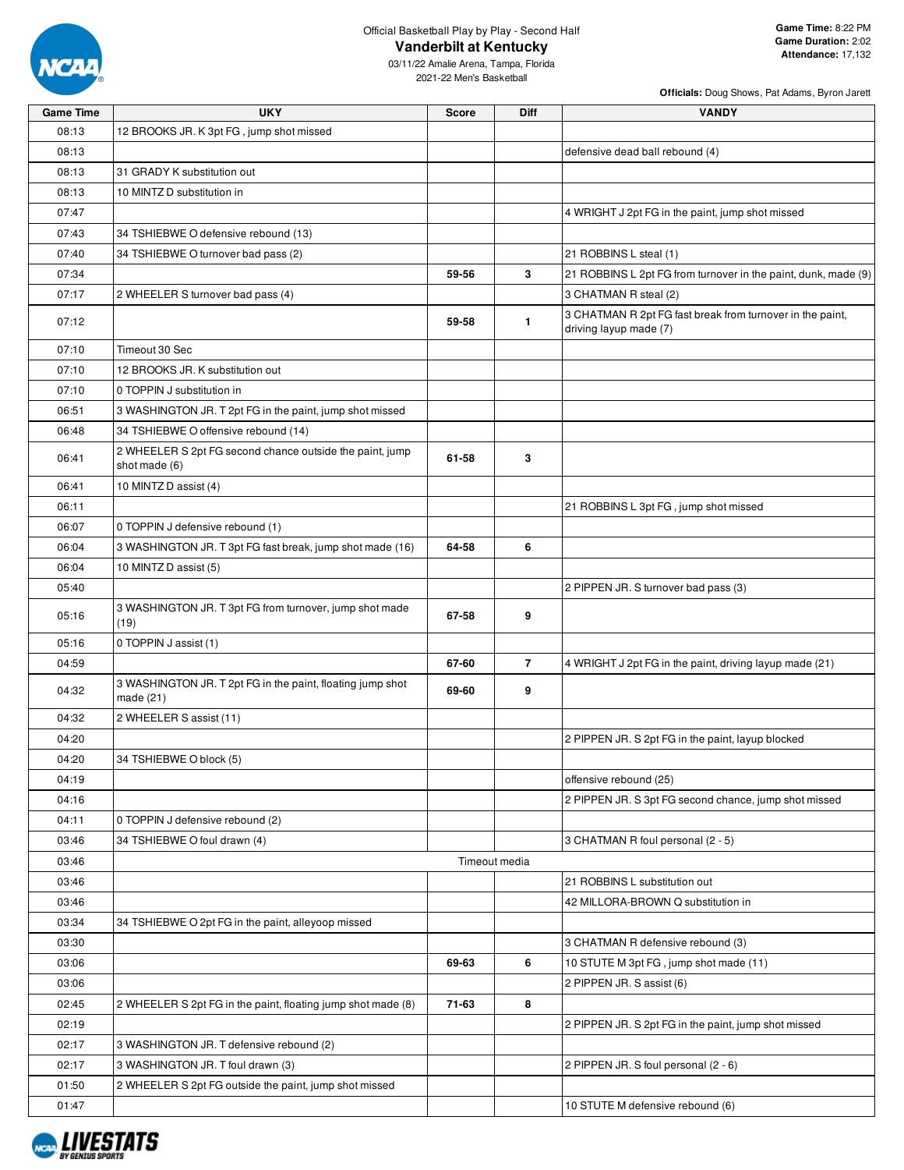

**Officials:** Doug Shows, Pat Adams, Byron Jarett

03/11/22 Amalie Arena, Tampa, Florida 2021-22 Men's Basketball

| <b>Game Time</b> | <b>UKY</b>                                                                | <b>Score</b> | Diff           | <b>VANDY</b>                                                                        |
|------------------|---------------------------------------------------------------------------|--------------|----------------|-------------------------------------------------------------------------------------|
| 08:13            | 12 BROOKS JR. K 3pt FG, jump shot missed                                  |              |                |                                                                                     |
| 08:13            |                                                                           |              |                | defensive dead ball rebound (4)                                                     |
| 08:13            | 31 GRADY K substitution out                                               |              |                |                                                                                     |
| 08:13            | 10 MINTZ D substitution in                                                |              |                |                                                                                     |
| 07:47            |                                                                           |              |                | 4 WRIGHT J 2pt FG in the paint, jump shot missed                                    |
| 07:43            | 34 TSHIEBWE O defensive rebound (13)                                      |              |                |                                                                                     |
| 07:40            | 34 TSHIEBWE O turnover bad pass (2)                                       |              |                | 21 ROBBINS L steal (1)                                                              |
| 07:34            |                                                                           | 59-56        | 3              | 21 ROBBINS L 2pt FG from turnover in the paint, dunk, made (9)                      |
| 07:17            | 2 WHEELER S turnover bad pass (4)                                         |              |                | 3 CHATMAN R steal (2)                                                               |
| 07:12            |                                                                           | 59-58        | 1.             | 3 CHATMAN R 2pt FG fast break from turnover in the paint,<br>driving layup made (7) |
| 07:10            | Timeout 30 Sec                                                            |              |                |                                                                                     |
| 07:10            | 12 BROOKS JR. K substitution out                                          |              |                |                                                                                     |
| 07:10            | 0 TOPPIN J substitution in                                                |              |                |                                                                                     |
| 06:51            | 3 WASHINGTON JR. T 2pt FG in the paint, jump shot missed                  |              |                |                                                                                     |
| 06:48            | 34 TSHIEBWE O offensive rebound (14)                                      |              |                |                                                                                     |
| 06:41            | 2 WHEELER S 2pt FG second chance outside the paint, jump<br>shot made (6) | 61-58        | 3              |                                                                                     |
| 06:41            | 10 MINTZ D assist (4)                                                     |              |                |                                                                                     |
| 06:11            |                                                                           |              |                | 21 ROBBINS L 3pt FG, jump shot missed                                               |
| 06:07            | 0 TOPPIN J defensive rebound (1)                                          |              |                |                                                                                     |
| 06:04            | 3 WASHINGTON JR. T 3pt FG fast break, jump shot made (16)                 | 64-58        | 6              |                                                                                     |
| 06:04            | 10 MINTZ D assist (5)                                                     |              |                |                                                                                     |
| 05:40            |                                                                           |              |                | 2 PIPPEN JR. S turnover bad pass (3)                                                |
| 05:16            | 3 WASHINGTON JR. T 3pt FG from turnover, jump shot made<br>(19)           | 67-58        | 9              |                                                                                     |
| 05:16            | 0 TOPPIN J assist (1)                                                     |              |                |                                                                                     |
| 04:59            |                                                                           | 67-60        | $\overline{7}$ | 4 WRIGHT J 2pt FG in the paint, driving layup made (21)                             |
| 04:32            | 3 WASHINGTON JR. T 2pt FG in the paint, floating jump shot<br>made (21)   | 69-60        | 9              |                                                                                     |
| 04:32            | 2 WHEELER S assist (11)                                                   |              |                |                                                                                     |
| 04:20            |                                                                           |              |                | 2 PIPPEN JR. S 2pt FG in the paint, layup blocked                                   |
| 04:20            | 34 TSHIEBWE O block (5)                                                   |              |                |                                                                                     |
| 04:19            |                                                                           |              |                | offensive rebound (25)                                                              |
| 04:16            |                                                                           |              |                | 2 PIPPEN JR. S 3pt FG second chance, jump shot missed                               |
| 04:11            | 0 TOPPIN J defensive rebound (2)                                          |              |                |                                                                                     |
| 03:46            | 34 TSHIEBWE O foul drawn (4)                                              |              |                | 3 CHATMAN R foul personal (2 - 5)                                                   |
| 03:46            |                                                                           |              | Timeout media  |                                                                                     |
| 03:46            |                                                                           |              |                | 21 ROBBINS L substitution out                                                       |
| 03:46            |                                                                           |              |                | 42 MILLORA-BROWN Q substitution in                                                  |
| 03:34            | 34 TSHIEBWE O 2pt FG in the paint, alleyoop missed                        |              |                |                                                                                     |
| 03:30            |                                                                           |              |                | 3 CHATMAN R defensive rebound (3)                                                   |
| 03:06            |                                                                           | 69-63        | 6              | 10 STUTE M 3pt FG, jump shot made (11)                                              |
| 03:06            |                                                                           |              |                | 2 PIPPEN JR. S assist (6)                                                           |
| 02:45            | 2 WHEELER S 2pt FG in the paint, floating jump shot made (8)              | 71-63        | 8              |                                                                                     |
| 02:19            |                                                                           |              |                | 2 PIPPEN JR. S 2pt FG in the paint, jump shot missed                                |
| 02:17            | 3 WASHINGTON JR. T defensive rebound (2)                                  |              |                |                                                                                     |
| 02:17            | 3 WASHINGTON JR. T foul drawn (3)                                         |              |                | 2 PIPPEN JR. S foul personal (2 - 6)                                                |
| 01:50            | 2 WHEELER S 2pt FG outside the paint, jump shot missed                    |              |                |                                                                                     |
| 01:47            |                                                                           |              |                | 10 STUTE M defensive rebound (6)                                                    |

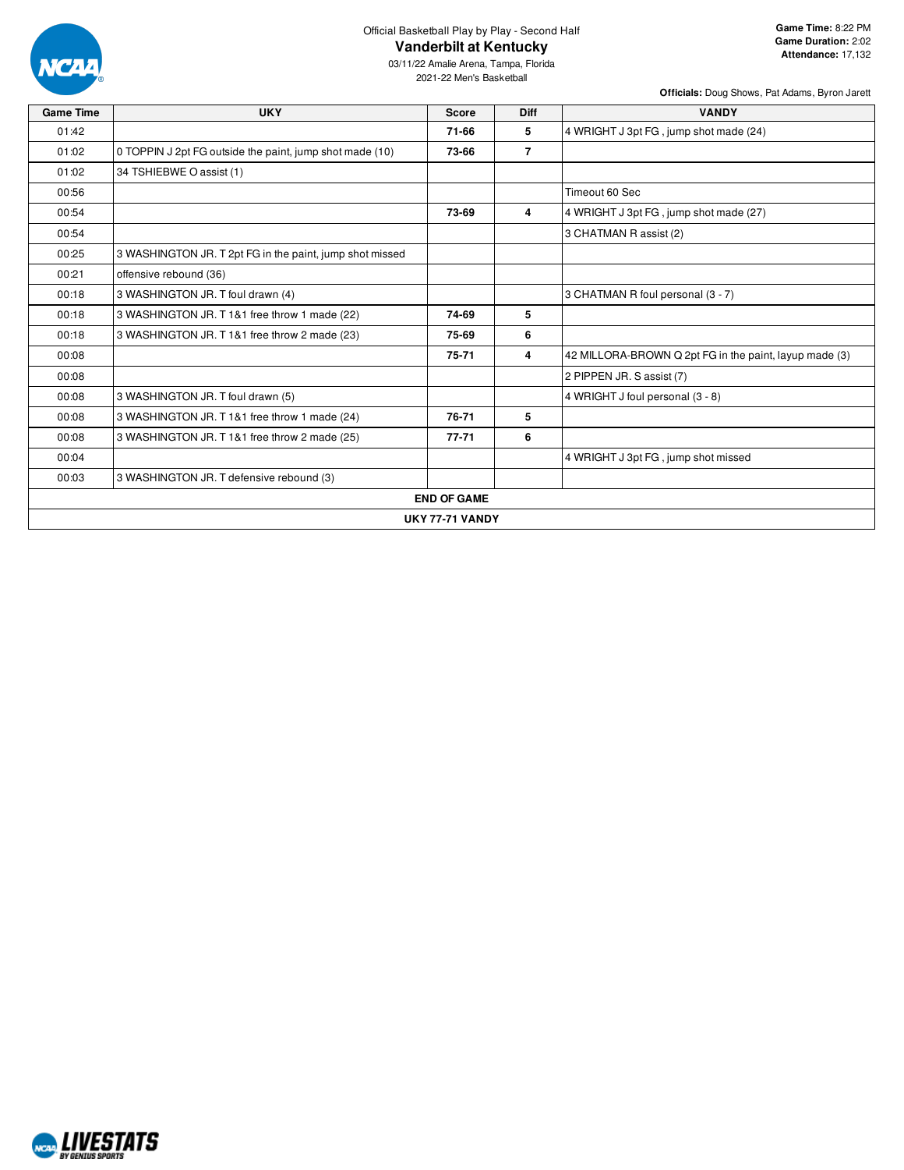

03/11/22 Amalie Arena, Tampa, Florida 2021-22 Men's Basketball

| <b>Game Time</b> | <b>UKY</b>                                               | <b>Score</b>           | <b>Diff</b>    | <b>VANDY</b>                                           |
|------------------|----------------------------------------------------------|------------------------|----------------|--------------------------------------------------------|
| 01:42            |                                                          | 71-66                  | 5              | 4 WRIGHT J 3pt FG, jump shot made (24)                 |
| 01:02            | 0 TOPPIN J 2pt FG outside the paint, jump shot made (10) | 73-66                  | $\overline{7}$ |                                                        |
| 01:02            | 34 TSHIEBWE O assist (1)                                 |                        |                |                                                        |
| 00:56            |                                                          |                        |                | Timeout 60 Sec                                         |
| 00:54            |                                                          | 73-69                  | 4              | 4 WRIGHT J 3pt FG, jump shot made (27)                 |
| 00:54            |                                                          |                        |                | 3 CHATMAN R assist (2)                                 |
| 00:25            | 3 WASHINGTON JR. T 2pt FG in the paint, jump shot missed |                        |                |                                                        |
| 00:21            | offensive rebound (36)                                   |                        |                |                                                        |
| 00:18            | 3 WASHINGTON JR. T foul drawn (4)                        |                        |                | 3 CHATMAN R foul personal (3 - 7)                      |
| 00:18            | 3 WASHINGTON JR. T 1&1 free throw 1 made (22)            | 74-69                  | 5              |                                                        |
| 00:18            | 3 WASHINGTON JR. T 1&1 free throw 2 made (23)            | 75-69                  | 6              |                                                        |
| 00:08            |                                                          | 75-71                  | 4              | 42 MILLORA-BROWN Q 2pt FG in the paint, layup made (3) |
| 00:08            |                                                          |                        |                | 2 PIPPEN JR. S assist (7)                              |
| 00:08            | 3 WASHINGTON JR. T foul drawn (5)                        |                        |                | 4 WRIGHT J foul personal (3 - 8)                       |
| 00:08            | 3 WASHINGTON JR. T 1&1 free throw 1 made (24)            | 76-71                  | 5              |                                                        |
| 00:08            | 3 WASHINGTON JR. T 1&1 free throw 2 made (25)            | $77 - 71$              | 6              |                                                        |
| 00:04            |                                                          |                        |                | 4 WRIGHT J 3pt FG, jump shot missed                    |
| 00:03            | 3 WASHINGTON JR. T defensive rebound (3)                 |                        |                |                                                        |
|                  |                                                          | <b>END OF GAME</b>     |                |                                                        |
|                  |                                                          | <b>UKY 77-71 VANDY</b> |                |                                                        |

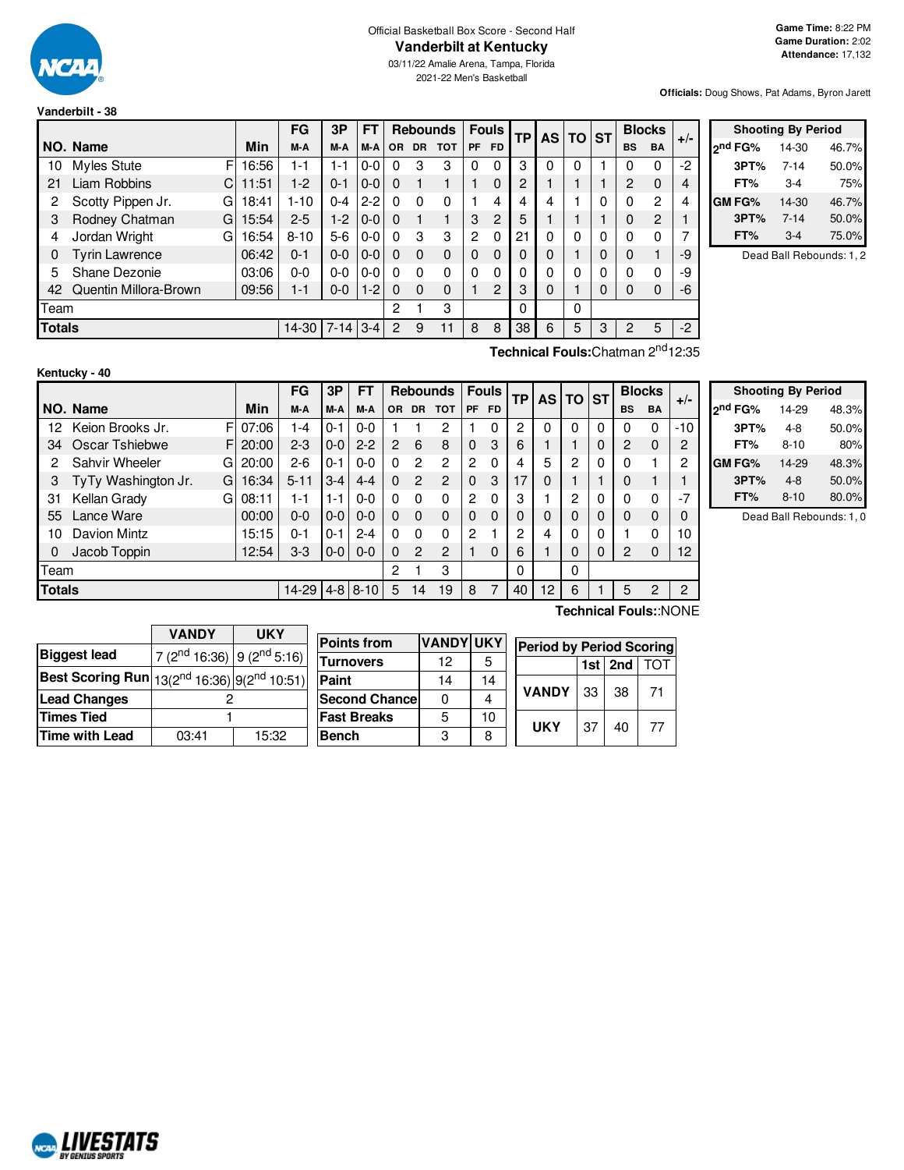

#### Official Basketball Box Score - Second Half **Vanderbilt at Kentucky**

03/11/22 Amalie Arena, Tampa, Florida 2021-22 Men's Basketball

**Officials:** Doug Shows, Pat Adams, Byron Jarett

| Vanderbilt - 38 |  |
|-----------------|--|
|                 |  |

|    |                                          |    |       | <b>FG</b> | 3P      | <b>FT</b> |           |           | <b>Rebounds</b> | <b>Fouls</b>   |     | <b>TP</b> |   | AS TO ST |   | <b>Blocks</b> |           | $+/-$ |
|----|------------------------------------------|----|-------|-----------|---------|-----------|-----------|-----------|-----------------|----------------|-----|-----------|---|----------|---|---------------|-----------|-------|
|    | NO. Name                                 |    | Min   | M-A       | M-A     | M-A       | <b>OR</b> | <b>DR</b> | <b>TOT</b>      | PF             | FD. |           |   |          |   | <b>BS</b>     | <b>BA</b> |       |
| 10 | Myles Stute                              | F  | 16:56 | 1-1       | 1-1     | $0-0$     | 0         | 3         | 3               | $\Omega$       | 0   | 3         |   | 0        |   |               |           | $-2$  |
| 21 | Liam Robbins                             | C  | 11:51 | $1-2$     | $0 - 1$ | $0-0$     | 0         |           |                 |                | 0   | 2         |   |          |   | 2             | $\Omega$  | 4     |
| 2  | Scotty Pippen Jr.                        | G  | 18:41 | $1 - 10$  | $0 - 4$ | l 2-2     | 0         | 0         | 0               |                | 4   | 4         | 4 |          |   | 0             | 2         | 4     |
| 3  | Rodney Chatman                           | GI | 15:54 | $2 - 5$   | $1-2$   | $0-0$     | $\Omega$  |           |                 | 3              | 2   | 5         |   |          |   | 0             | 2         |       |
| 4  | Jordan Wright                            | G  | 16:54 | $8 - 10$  | $5-6$   | $0-0$     | 0         | 3         | 3               | $\overline{c}$ | 0   | 21        | 0 | 0        | 0 | 0             |           | 7     |
| 0  | <b>Tyrin Lawrence</b>                    |    | 06:42 | $0 - 1$   | $0 - 0$ | $0 - 0$   | 0         | $\Omega$  | $\Omega$        | $\Omega$       | 0   | 0         | 0 |          | 0 | 0             |           | $-9$  |
| 5  | Shane Dezonie                            |    | 03:06 | $0 - 0$   | $0 - 0$ | $0 - 0$   | 0         | 0         | 0               | $\Omega$       | 0   | ი         |   | 0        | 0 | $\Omega$      | 0         | -9    |
| 42 | Quentin Millora-Brown                    |    | 09:56 | $1 - 1$   | $0 - 0$ | $1 - 2$   | 0         | $\Omega$  | $\Omega$        |                | 2   | 3         | 0 |          | 0 | $\Omega$      | 0         | -6    |
|    | Team                                     |    |       |           |         |           | 2         |           | 3               |                |     | 0         |   | 0        |   |               |           |       |
|    | <b>Totals</b><br>$7-14$ 3-4<br>$14 - 30$ |    |       |           |         |           | 2         | 9         | 11              | 8              | 8   | 38        | 6 | 5        | 3 | 2             | 5         | $-2$  |

|                     |      | <b>Shooting By Period</b> |       |
|---------------------|------|---------------------------|-------|
| <sub>2</sub> nd FG% |      | 14-30                     | 46.7% |
|                     | 3PT% | $7 - 14$                  | 50.0% |
|                     | FT%  | $3-4$                     | 75%   |
| <b>GM FG%</b>       |      | 14-30                     | 46.7% |
|                     | 3PT% | $7 - 14$                  | 50.0% |
|                     | FT%  | $3-4$                     | 75.0% |

Dead Ball Rebounds: 1, 2

|  | Technical Fouls:Chatman 2 <sup>nd</sup> 12:35 |  |
|--|-----------------------------------------------|--|
|--|-----------------------------------------------|--|

|      | Kentucky - 40       |    |          |          |         |                  |          |                |                 |                |              |              |      |              |          |                |           |                |
|------|---------------------|----|----------|----------|---------|------------------|----------|----------------|-----------------|----------------|--------------|--------------|------|--------------|----------|----------------|-----------|----------------|
|      |                     |    |          | FG       | 3P      | FT               |          |                | <b>Rebounds</b> |                | <b>Fouls</b> | ТP           | AS I | <b>TO ST</b> |          | <b>Blocks</b>  |           | $+/-$          |
|      | NO. Name            |    | Min      | M-A      | M-A     | M-A              | OR.      |                | DR TOT          | <b>PF</b>      | <b>FD</b>    |              |      |              |          | <b>BS</b>      | <b>BA</b> |                |
| 12   | Keion Brooks Jr.    | ΕI | 07:06    | 1-4      | $0 - 1$ | $0 - 0$          |          |                | 2               |                | 0            | 2            | 0    | $\Omega$     | 0        | 0              | 0         | $-10$          |
| 34   | Oscar Tshiebwe      |    | FI 20:00 | $2 - 3$  | $0 - 0$ | $2 - 2$          | 2        | 6              | 8               | $\Omega$       | 3            | 6            |      |              | 0        | $\overline{2}$ | $\Omega$  | 2              |
| 2    | Sahvir Wheeler      | GI | 20:00    | $2 - 6$  | $0 - 1$ | $0-0$            | $\Omega$ | 2              | 2               | 2              | $\Omega$     | 4            | 5    | 2            | $\Omega$ | 0              |           | 2              |
| 3    | TyTy Washington Jr. | GI | 16:34    | $5 - 11$ | $3 - 4$ | $4 - 4$          | $\Omega$ | $\mathcal{P}$  | 2               | $\Omega$       | 3            | 17           | 0    |              |          | 0              |           |                |
| 31   | Kellan Grady        | G  | 08:11    | 1-1      | $1 - 1$ | $0 - 0$          | $\Omega$ | $\Omega$       | $\Omega$        | $\overline{c}$ | $\Omega$     | 3            |      | 2            | 0        | $\Omega$       | 0         | $-7$           |
| 55   | Lance Ware          |    | 00:00    | $0 - 0$  | $0 - 0$ | $0 - 0$          | $\Omega$ | $\Omega$       | $\Omega$        | $\Omega$       | $\Omega$     | $\mathbf{0}$ | 0    | $\Omega$     | $\Omega$ | $\Omega$       | $\Omega$  | 0              |
| 10   | Davion Mintz        |    | 15:15    | 0-1      | $0 - 1$ | $2 - 4$          | 0        | $\Omega$       | 0               | 2              |              | 2            | 4    | $\Omega$     | 0        |                | 0         | 10             |
| 0    | Jacob Toppin        |    | 12:54    | $3-3$    | $0-0$   | $0 - 0$          | $\Omega$ | $\mathfrak{p}$ | $\overline{c}$  |                | $\Omega$     | 6            |      | $\Omega$     | 0        | 2              | $\Omega$  | 12             |
| Team |                     |    |          |          |         |                  | 2        |                | 3               |                |              | 0            |      | 0            |          |                |           |                |
|      | <b>Totals</b>       |    |          |          |         | $4 - 8$   8 - 10 | 5        | 14             | 19              | 8              | 7            | 40           | 12   | 6            |          | 5              | 2         | $\overline{c}$ |

|                     | <b>Shooting By Period</b> |       |
|---------------------|---------------------------|-------|
| 2 <sup>nd</sup> FG% | 14-29                     | 48.3% |
| 3PT%                | $4 - 8$                   | 50.0% |
| FT%                 | $8 - 10$                  | 80%   |
| GM FG%              | 14-29                     | 48.3% |
| 3PT%                | $4 - 8$                   | 50.0% |
| FT%                 | $8 - 10$                  | 80.0% |

Dead Ball Rebounds: 1, 0

|                                                     | <b>VANDY</b>                           | <b>UKY</b> | P |
|-----------------------------------------------------|----------------------------------------|------------|---|
| <b>Biggest lead</b>                                 | 7 ( $2^{nd}$ 16:36) 9 ( $2^{nd}$ 5:16) |            | ₸ |
| Best Scoring Run $ 13(2^{nd}16:36) 9(2^{nd}10:51) $ |                                        |            | P |
| <b>Lead Changes</b>                                 |                                        |            | S |
| <b>Times Tied</b>                                   |                                        |            | F |
| <b>Time with Lead</b>                               | 03:41                                  | 15:32      | В |

| <b>Points from</b>   | <b>VANDY UKY</b> |    | <b>Period by Period Scoring</b> |    |    |    |  |  |  |  |
|----------------------|------------------|----|---------------------------------|----|----|----|--|--|--|--|
| <b>Turnovers</b>     | 12               |    | 1st 2nd                         |    |    |    |  |  |  |  |
| Paint                | 14               | 14 |                                 |    |    |    |  |  |  |  |
| <b>Second Chance</b> | 0                |    | <b>VANDY</b>                    | 33 | 38 | 71 |  |  |  |  |
| <b>Fast Breaks</b>   | 5                | 10 | <b>UKY</b>                      | 37 | 40 | 77 |  |  |  |  |
| <b>Bench</b>         | 3                |    |                                 |    |    |    |  |  |  |  |

**Technical Fouls:**:NONE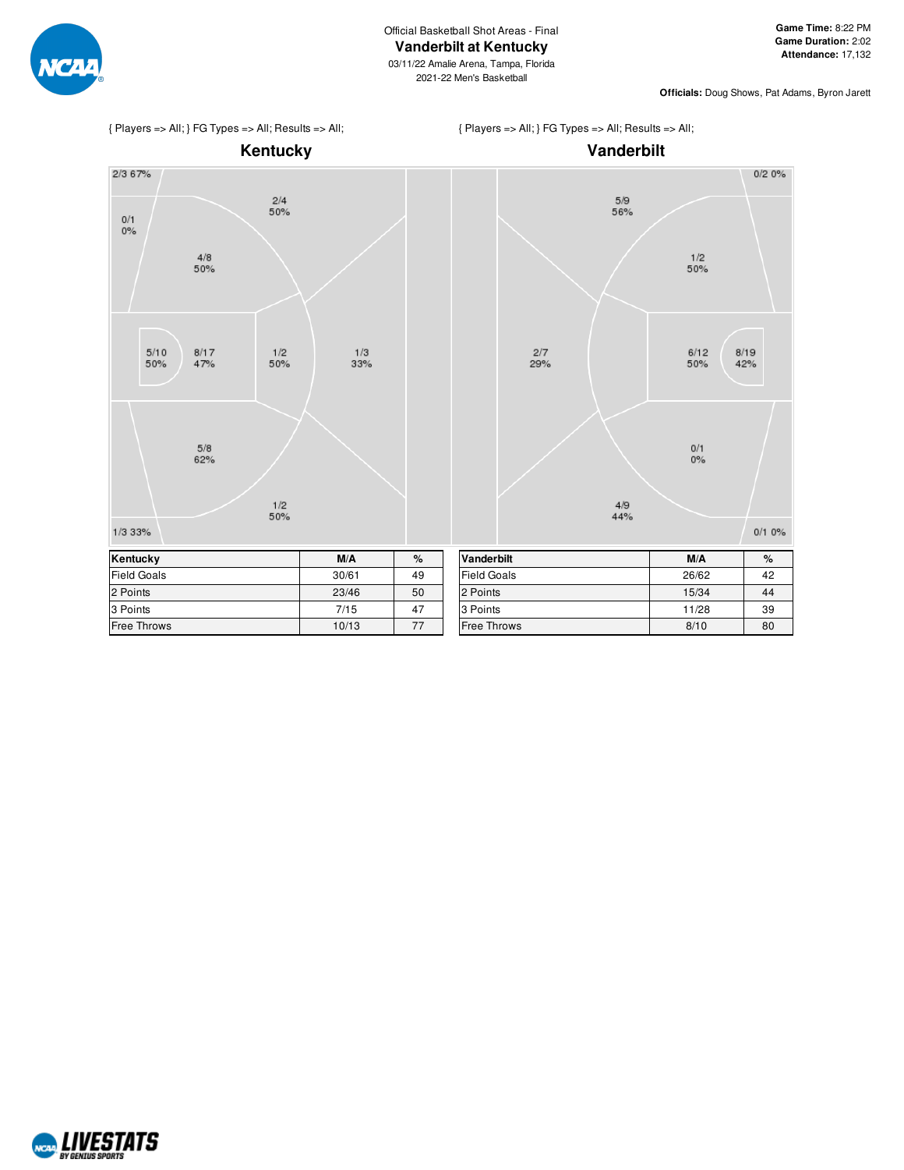

{ Players => All; } FG Types => All; Results => All;





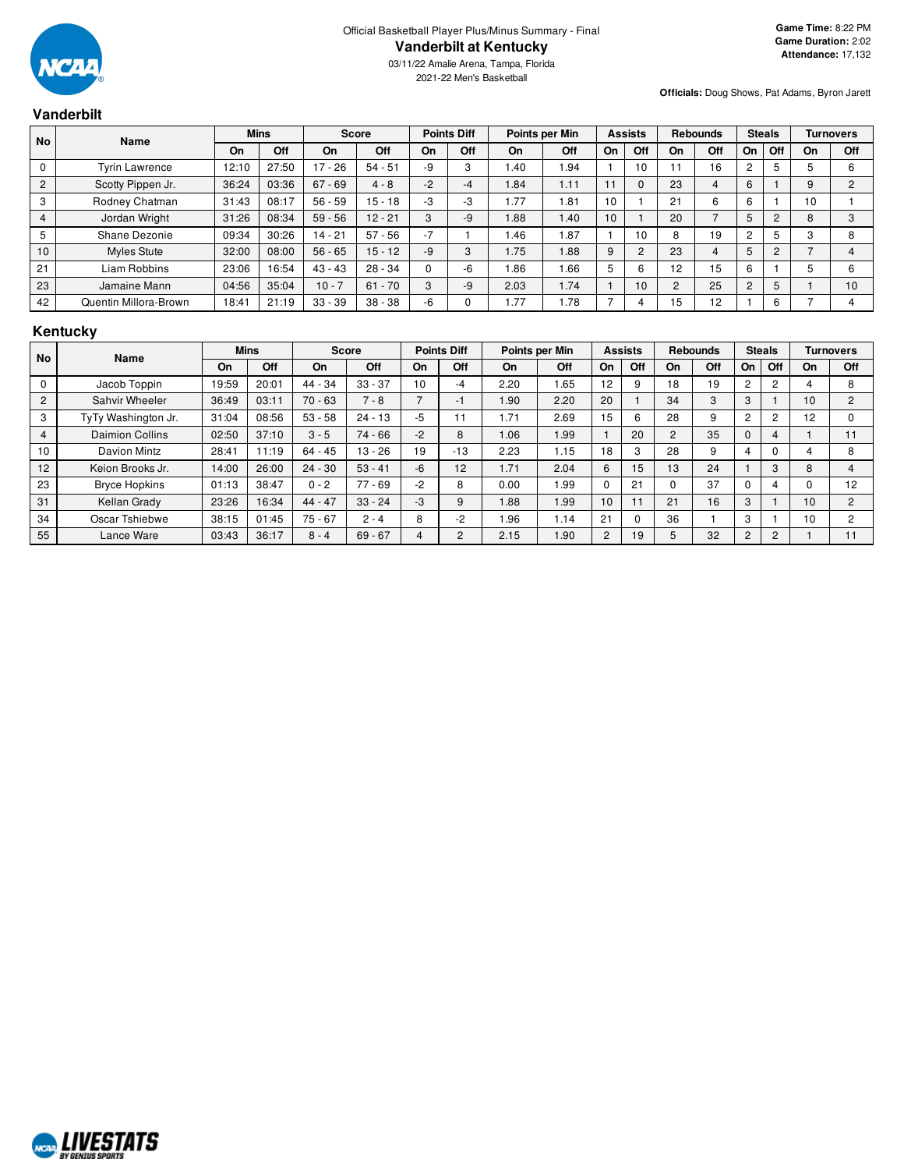

2021-22 Men's Basketball

**Officials:** Doug Shows, Pat Adams, Byron Jarett

# **Vanderbilt**

| <b>No</b>      | Name                  | <b>Mins</b> |       | <b>Score</b> |           | <b>Points Diff</b> |     | Points per Min |      | <b>Assists</b> |          | <b>Rebounds</b> |     | <b>Steals</b>  |     | <b>Turnovers</b> |     |
|----------------|-----------------------|-------------|-------|--------------|-----------|--------------------|-----|----------------|------|----------------|----------|-----------------|-----|----------------|-----|------------------|-----|
|                |                       | On          | Off   | On           | Off       | On                 | Off | On             | Off  | On             | Off      | On              | Off | On             | Off | On               | Off |
| 0              | <b>Tyrin Lawrence</b> | 12:10       | 27:50 | 17<br>$-26$  | $54 - 51$ | -9                 | 3   | 1.40           | 1.94 |                | 10       |                 | 16  |                | 5   |                  | 6   |
| $\overline{2}$ | Scotty Pippen Jr.     | 36:24       | 03:36 | $67 - 69$    | $4 - 8$   | $-2$               | -4  | .84            | 1.11 |                | $\Omega$ | 23              |     | 6              |     | 9                | 2   |
| 3              | Rodney Chatman        | 31:43       | 08:17 | $56 - 59$    | $15 - 18$ | -3                 | -3  | .77            | 81.، | 10             |          | 21              | 6   | 6              |     | 10               |     |
| 4              | Jordan Wright         | 31:26       | 08:34 | $59 - 56$    | $12 - 21$ | 3                  | -9  | 1.88           | 1.40 | 10             |          | 20              |     |                | 2   | 8                | 3   |
| 5              | Shane Dezonie         | 09:34       | 30:26 | $14 - 21$    | $57 - 56$ | $-7$               |     | 1.46           | i.87 |                | 10       | 8               | 19  |                | 5   |                  | 8   |
| 10             | Myles Stute           | 32:00       | 08:00 | $56 - 65$    | $15 - 12$ | $-9$               | 3   | 1.75           | 1.88 | 9              | 2        | 23              | 4   | 5              | 2   |                  | 4   |
| 21             | Liam Robbins          | 23:06       | 16:54 | $43 - 43$    | $28 - 34$ |                    | -6  | .86            | 1.66 | 5              | 6        | 12              | 15  | 6              |     |                  | 6   |
| 23             | Jamaine Mann          | 04:56       | 35:04 | $10 - 7$     | $61 - 70$ | 3                  | -9  | 2.03           | 1.74 |                | 10       | $\overline{2}$  | 25  | $\overline{c}$ | 5   |                  | 10  |
| 42             | Quentin Millora-Brown | 18:41       | 21:19 | $33 - 39$    | $38 - 38$ | $-6$               |     | .77            | 1.78 |                |          | 15              | 12  |                | 6   |                  |     |

# **Kentucky**

| <b>No</b>      | Name                   |       | <b>Mins</b> | <b>Score</b> |           | <b>Points Diff</b> |                     | Points per Min |            | <b>Assists</b> |     | <b>Rebounds</b> |     | <b>Steals</b>  |                | <b>Turnovers</b> |                |
|----------------|------------------------|-------|-------------|--------------|-----------|--------------------|---------------------|----------------|------------|----------------|-----|-----------------|-----|----------------|----------------|------------------|----------------|
|                |                        | On    | Off         | On           | Off       | On                 | Off                 | On             | Off        | On             | Off | On              | Off | On             | Off            | On               | Off            |
| $\Omega$       | Jacob Toppin           | 19:59 | 20:01       | 44 - 34      | $33 - 37$ | 10                 | -4                  | 2.20           | 1.65       | 12             |     | 18              | 19  | 2              | 2              |                  | 8              |
| 2              | Sahvir Wheeler         | 36:49 | 03:11       | $70 - 63$    | $7 - 8$   | $\overline{ }$     | -1                  | 1.90           | 2.20       | 20             |     | 34              | 3   | 3              |                | 10 <sup>°</sup>  | $\overline{2}$ |
| 3              | TyTy Washington Jr.    | 31:04 | 08:56       | $53 - 58$    | $24 - 13$ | $-5$               | - 1<br>$\mathbf{I}$ | 1.71           | 2.69       | 15             | 6   | 28              | 9   | $\overline{2}$ | $\overline{2}$ | 12               |                |
| $\overline{4}$ | <b>Daimion Collins</b> | 02:50 | 37:10       | $3 - 5$      | $74 - 66$ | $-2$               | 8                   | 1.06           | 1.99       |                | 20  | $\overline{2}$  | 35  | $\Omega$       | 4              |                  | 11             |
| 10             | Davion Mintz           | 28:41 | 1:19        | $64 - 45$    | $13 - 26$ | 19                 | $-13$               | 2.23           | 1.15       | 18             |     | 28              | 9   |                |                |                  | 8              |
| 12             | Keion Brooks Jr.       | 14:00 | 26:00       | $24 - 30$    | $53 - 41$ | $-6$               | 12                  | 1.71           | 2.04       | 6              | 15  | 13              | 24  |                | 3              | 8                | 4              |
| 23             | <b>Bryce Hopkins</b>   | 01:13 | 38:47       | $0 - 2$      | $77 - 69$ | $-2$               | 8                   | 0.00           | <b>99.</b> |                | 21  |                 | 37  |                | 4              |                  | 12             |
| 31             | Kellan Grady           | 23:26 | 16:34       | $44 - 47$    | $33 - 24$ | $-3$               | 9                   | 1.88           | 1.99       | 10             | 11  | 21              | 16  | 3              |                | 10               | $\overline{2}$ |
| 34             | Oscar Tshiebwe         | 38:15 | 01:45       | $75 - 67$    | $2 - 4$   | 8                  | $-2$                | 1.96           | 1.14       | 21             |     | 36              |     | 3              |                | 10               | $\overline{2}$ |
| 55             | Lance Ware             | 03:43 | 36:17       | $8 - 4$      | $69 - 67$ | 4                  | 2                   | 2.15           | 1.90       | 2              | 19  | 5               | 32  | 2              | 2              |                  | 11             |

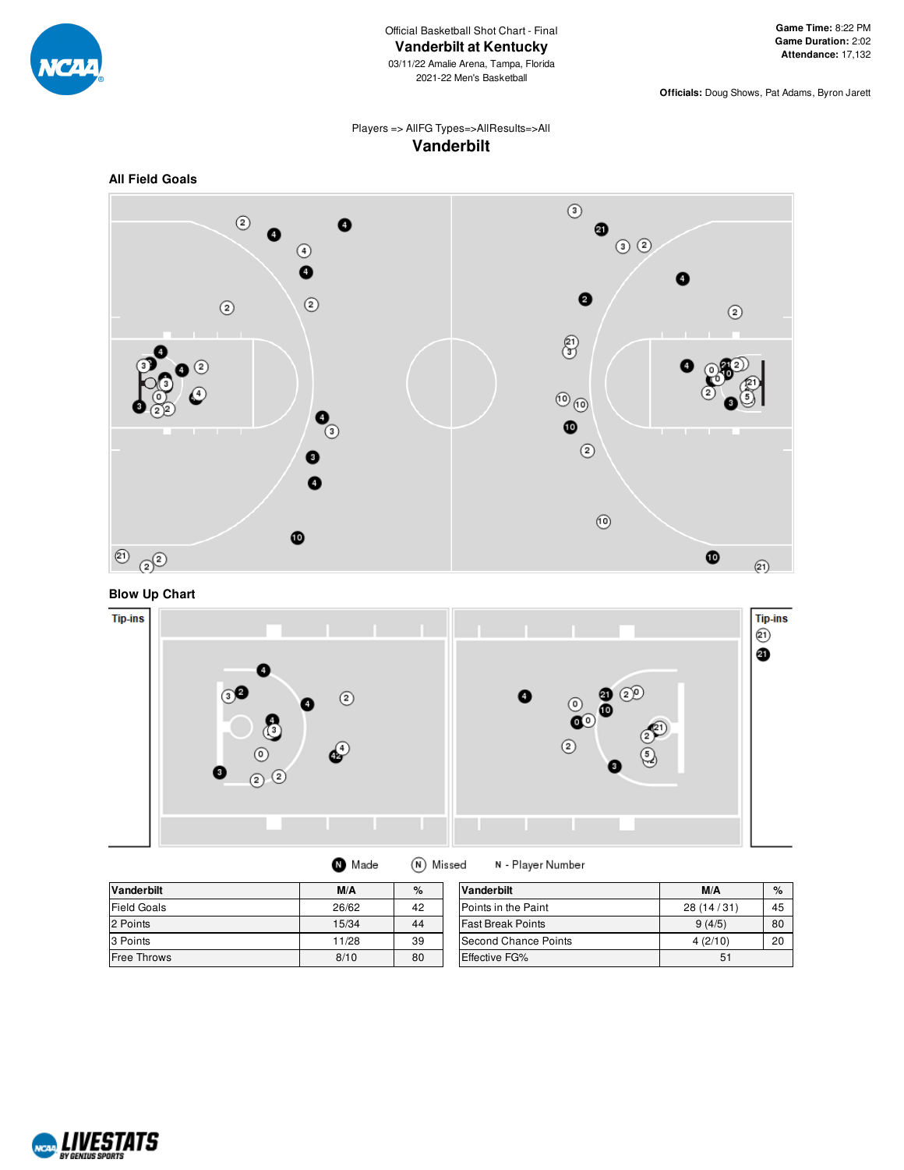

03/11/22 Amalie Arena, Tampa, Florida 2021-22 Men's Basketball

**Officials:** Doug Shows, Pat Adams, Byron Jarett

## Players => AllFG Types=>AllResults=>All **Vanderbilt**



# **Blow Up Chart**



| <b>Vanderbilt</b>  | M/A   | $\%$ | Vanderbilt               | M/A        | %  |
|--------------------|-------|------|--------------------------|------------|----|
| Field Goals        | 26/62 | 42   | Points in the Paint      | 28 (14/31) | 45 |
| 2 Points           | 15/34 | 44   | <b>Fast Break Points</b> | 9(4/5)     | 80 |
| 3 Points           | 11/28 | 39   | Second Chance Points     | 4(2/10)    | 20 |
| <b>Free Throws</b> | 8/10  | 80   | Effective FG%            | 51         |    |

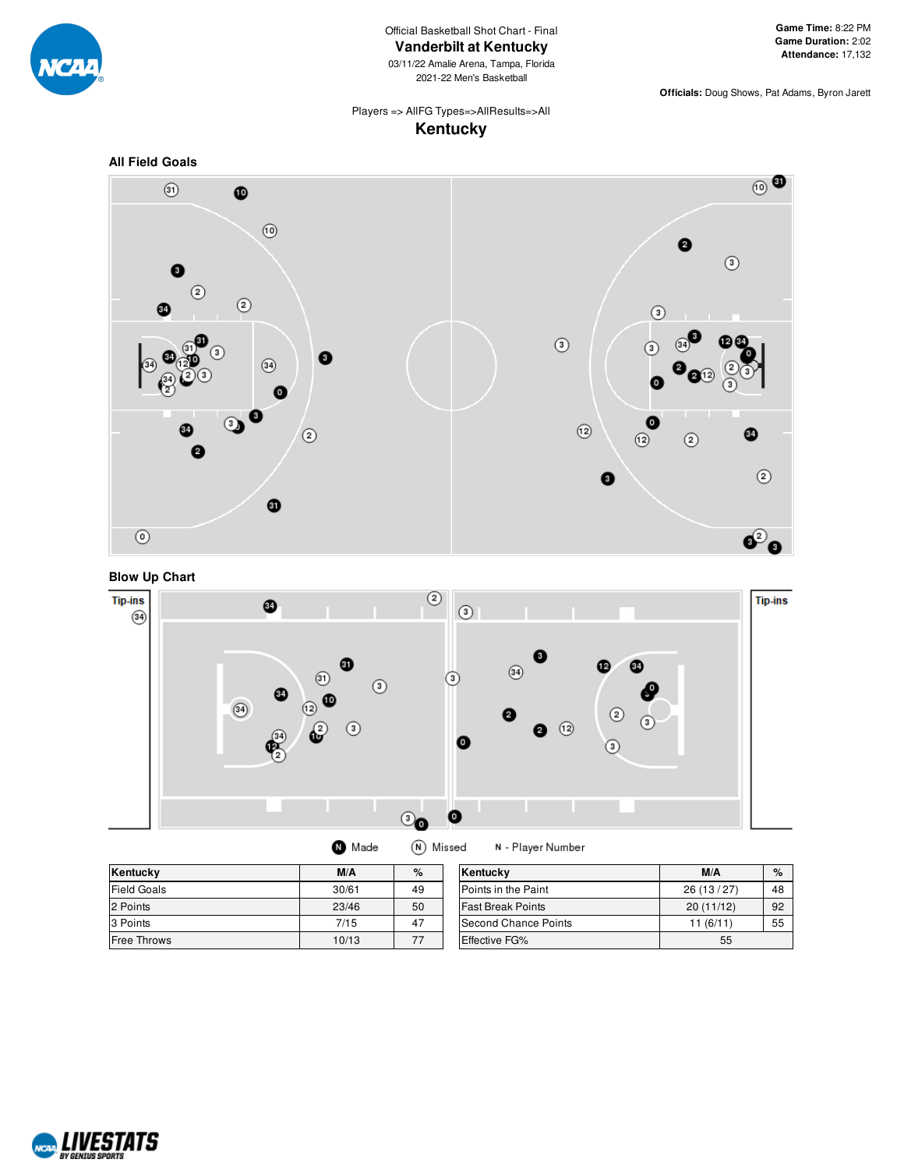

Official Basketball Shot Chart - Final **Vanderbilt at Kentucky**

03/11/22 Amalie Arena, Tampa, Florida 2021-22 Men's Basketball

**Officials:** Doug Shows, Pat Adams, Byron Jarett

## Players => AllFG Types=>AllResults=>All **Kentucky**







| Made | (N) Missed | N-PI |
|------|------------|------|
|------|------------|------|

| Kentucky           | M/A   | %  | Kentucky                 | M/A       | $\%$ |
|--------------------|-------|----|--------------------------|-----------|------|
| <b>Field Goals</b> | 30/61 | 49 | Points in the Paint      | 26(13/27) | 48   |
| 2 Points           | 23/46 | 50 | <b>Fast Break Points</b> | 20(11/12) | 92   |
| 3 Points           | 7/15  | 47 | Second Chance Points     | 11(6/11)  | 55   |
| <b>Free Throws</b> | 10/13 | 77 | <b>Effective FG%</b>     | 55        |      |

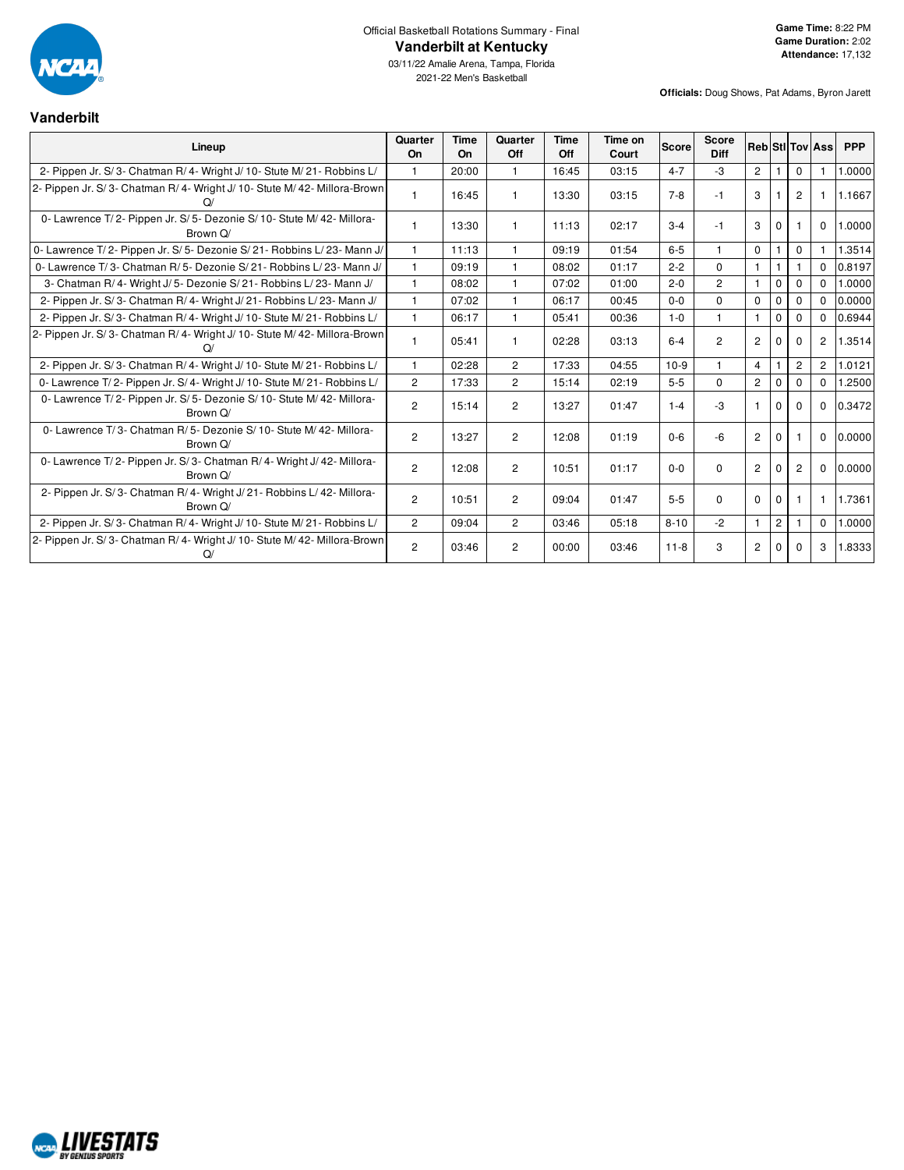

# Official Basketball Rotations Summary - Final **Vanderbilt at Kentucky**

03/11/22 Amalie Arena, Tampa, Florida 2021-22 Men's Basketball

## **Vanderbilt**

| Lineup                                                                          | Quarter<br>On  | Time<br>On | Quarter<br>Off | Time<br>Off | Time on<br>Court | <b>Score</b> | <b>Score</b><br><b>Diff</b> |                |                |                | <b>Reb Sti Tov Ass</b> | <b>PPP</b> |
|---------------------------------------------------------------------------------|----------------|------------|----------------|-------------|------------------|--------------|-----------------------------|----------------|----------------|----------------|------------------------|------------|
| 2- Pippen Jr. S/3- Chatman R/4- Wright J/10- Stute M/21- Robbins L/             | $\mathbf{1}$   | 20:00      | $\mathbf{1}$   | 16:45       | 03:15            | $4 - 7$      | $-3$                        | $\overline{2}$ |                | $\Omega$       |                        | 1.0000     |
| 2- Pippen Jr. S/3- Chatman R/4- Wright J/10- Stute M/42- Millora-Brown          | $\mathbf{1}$   | 16:45      |                | 13:30       | 03:15            | $7-8$        | $-1$                        | 3              |                | 2              |                        | 1.1667     |
| 0- Lawrence T/2- Pippen Jr. S/5- Dezonie S/10- Stute M/42- Millora-<br>Brown Q/ | $\mathbf{1}$   | 13:30      | 1.             | 11:13       | 02:17            | $3 - 4$      | $-1$                        | 3              | $\Omega$       |                | $\Omega$               | 1.0000     |
| 0- Lawrence T/2- Pippen Jr. S/5- Dezonie S/21- Robbins L/23- Mann J/            | 1              | 11:13      |                | 09:19       | 01:54            | $6-5$        |                             | $\mathbf 0$    |                | 0              |                        | 1.3514     |
| 0- Lawrence T/3- Chatman R/5- Dezonie S/21- Robbins L/23- Mann J/               | $\mathbf{1}$   | 09:19      | 1.             | 08:02       | 01:17            | $2 - 2$      | $\Omega$                    |                |                |                | $\Omega$               | 0.8197     |
| 3- Chatman R/4- Wright J/5- Dezonie S/21- Robbins L/23- Mann J/                 | $\mathbf{1}$   | 08:02      | $\mathbf{1}$   | 07:02       | 01:00            | $2 - 0$      | $\overline{2}$              | $\mathbf{1}$   | $\Omega$       | $\Omega$       | $\Omega$               | 1.0000     |
| 2- Pippen Jr. S/3- Chatman R/4- Wright J/21- Robbins L/23- Mann J/              | $\mathbf{1}$   | 07:02      | 1.             | 06:17       | 00:45            | $0 - 0$      | $\Omega$                    | $\Omega$       | $\Omega$       | $\Omega$       | $\Omega$               | 0.0000     |
| 2- Pippen Jr. S/3- Chatman R/4- Wright J/10- Stute M/21- Robbins L/             | $\mathbf{1}$   | 06:17      | $\mathbf{1}$   | 05:41       | 00:36            | $1 - 0$      |                             | $\mathbf{1}$   | $\Omega$       | $\Omega$       | $\Omega$               | 0.6944     |
| 2- Pippen Jr. S/3- Chatman R/4- Wright J/10- Stute M/42- Millora-Brown<br>Q/    | 1              | 05:41      |                | 02:28       | 03:13            | $6 - 4$      | $\overline{2}$              | $\overline{2}$ | $\Omega$       | $\Omega$       | 2                      | 1.3514     |
| 2- Pippen Jr. S/3- Chatman R/4- Wright J/10- Stute M/21- Robbins L/             | $\mathbf{1}$   | 02:28      | $\overline{2}$ | 17:33       | 04:55            | $10-9$       |                             | $\overline{4}$ |                | $\overline{2}$ | $\overline{2}$         | 1.0121     |
| 0- Lawrence T/2- Pippen Jr. S/4- Wright J/10- Stute M/21- Robbins L/            | $\overline{2}$ | 17:33      | $\overline{2}$ | 15:14       | 02:19            | $5 - 5$      | $\Omega$                    | $\overline{2}$ | $\Omega$       | $\Omega$       | $\Omega$               | .2500      |
| 0- Lawrence T/2- Pippen Jr. S/5- Dezonie S/10- Stute M/42- Millora-<br>Brown Q/ | $\overline{2}$ | 15:14      | $\overline{c}$ | 13:27       | 01:47            | $1 - 4$      | $-3$                        | $\mathbf{1}$   | $\mathbf 0$    | $\Omega$       | $\mathbf 0$            | 0.3472     |
| 0- Lawrence T/3- Chatman R/5- Dezonie S/10- Stute M/42- Millora-<br>Brown Q/    | $\overline{2}$ | 13:27      | $\overline{2}$ | 12:08       | 01:19            | $0 - 6$      | $-6$                        | $\overline{2}$ | $\Omega$       |                | $\mathbf 0$            | 0.0000     |
| 0- Lawrence T/2- Pippen Jr. S/3- Chatman R/4- Wright J/42- Millora-<br>Brown Q/ | $\overline{2}$ | 12:08      | $\overline{2}$ | 10:51       | 01:17            | $0 - 0$      | $\Omega$                    | $\overline{2}$ | $\Omega$       | 2              | $\Omega$               | 0.0000     |
| 2- Pippen Jr. S/3- Chatman R/4- Wright J/21- Robbins L/42- Millora-<br>Brown Q/ | $\overline{2}$ | 10:51      | $\overline{2}$ | 09:04       | 01:47            | $5 - 5$      | $\Omega$                    | $\Omega$       | $\Omega$       |                | -1                     | 1.7361     |
| 2- Pippen Jr. S/3- Chatman R/4- Wright J/10- Stute M/21- Robbins L/             | $\overline{2}$ | 09:04      | $\overline{2}$ | 03:46       | 05:18            | $8 - 10$     | $-2$                        | $\mathbf{1}$   | $\overline{2}$ |                | $\mathbf 0$            | 1.0000     |
| 2- Pippen Jr. S/3- Chatman R/4- Wright J/10- Stute M/42- Millora-Brown          | $\overline{2}$ | 03:46      | 2              | 00:00       | 03:46            | $11 - 8$     | 3                           | $\overline{c}$ | $\Omega$       | 0              | 3                      | 1.8333     |

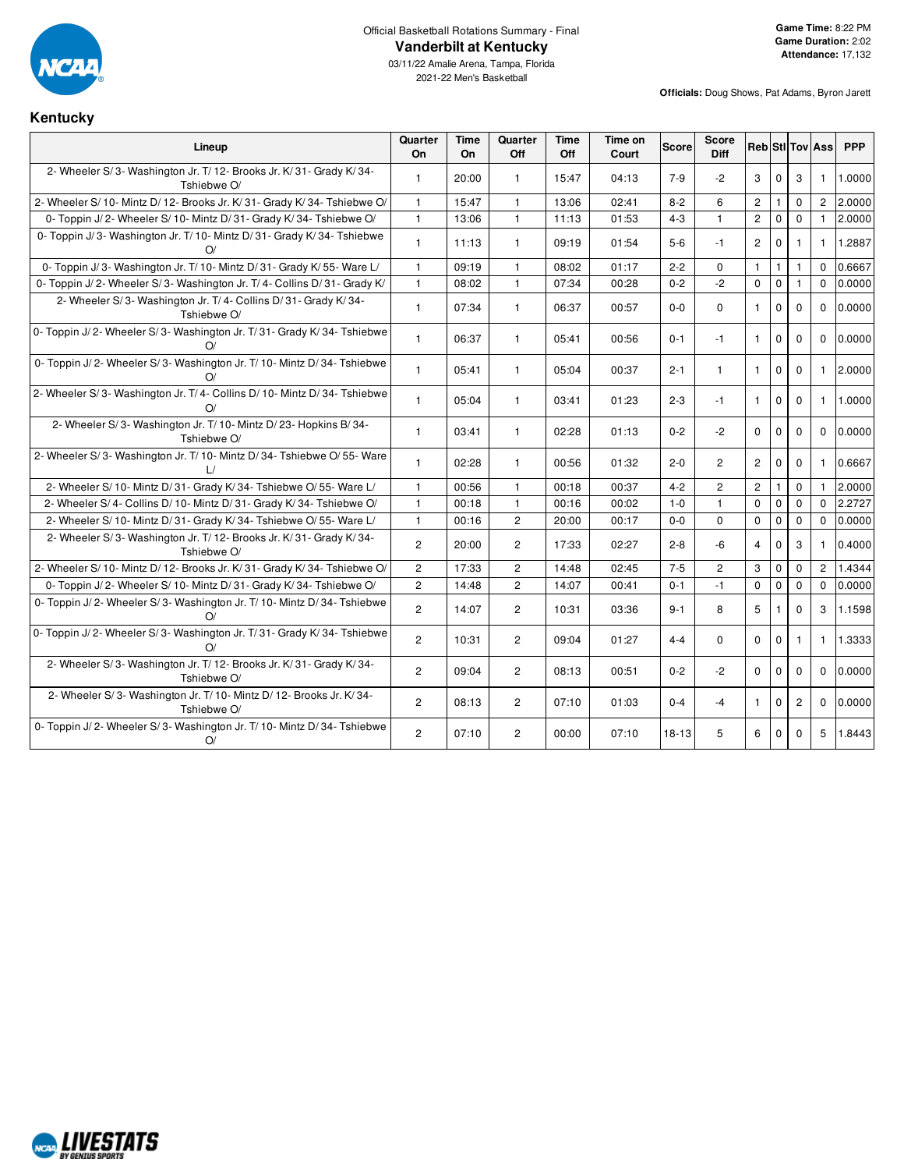

## Official Basketball Rotations Summary - Final **Vanderbilt at Kentucky**

## **Kentucky**

| Lineup                                                                             | Quarter<br><b>On</b> | <b>Time</b><br><b>On</b> | Quarter<br>Off | <b>Time</b><br>Off | Time on<br>Court | Score   | <b>Score</b><br><b>Diff</b> |                       |                |                | <b>Reb</b> StI Tov Ass | <b>PPP</b> |
|------------------------------------------------------------------------------------|----------------------|--------------------------|----------------|--------------------|------------------|---------|-----------------------------|-----------------------|----------------|----------------|------------------------|------------|
| 2- Wheeler S/3- Washington Jr. T/12- Brooks Jr. K/31- Grady K/34-<br>Tshiebwe O/   | $\mathbf{1}$         | 20:00                    | $\mathbf{1}$   | 15:47              | 04:13            | $7-9$   | $-2$                        | 3                     | $\mathbf 0$    | 3              | 1                      | 1.0000     |
| 2- Wheeler S/ 10- Mintz D/ 12- Brooks Jr. K/ 31- Grady K/ 34- Tshiebwe O/          | $\mathbf{1}$         | 15:47                    | $\mathbf{1}$   | 13:06              | 02:41            | $8 - 2$ | 6                           | $\overline{c}$        | $\overline{1}$ | $\mathbf 0$    | $\overline{2}$         | 2.0000     |
| 0- Toppin J/2- Wheeler S/10- Mintz D/31- Grady K/34- Tshiebwe O/                   | $\mathbf{1}$         | 13:06                    | $\mathbf{1}$   | 11:13              | 01:53            | $4 - 3$ | $\mathbf{1}$                | $\mathbf{2}$          | $\mathbf 0$    | 0              | $\mathbf{1}$           | 2.0000     |
| 0- Toppin J/3- Washington Jr. T/10- Mintz D/31- Grady K/34- Tshiebwe<br>O/         | $\mathbf{1}$         | 11:13                    | $\mathbf{1}$   | 09:19              | 01:54            | $5-6$   | $-1$                        | $\mathbf{2}^{\prime}$ | $\mathbf 0$    | 1              | 1                      | 1.2887     |
| 0- Toppin J/3- Washington Jr. T/10- Mintz D/31- Grady K/55- Ware L/                | $\mathbf{1}$         | 09:19                    | $\mathbf{1}$   | 08:02              | 01:17            | $2 - 2$ | $\Omega$                    | $\mathbf{1}$          | $\mathbf{1}$   | $\mathbf{1}$   | $\Omega$               | 0.6667     |
| 0- Toppin J/2- Wheeler S/3- Washington Jr. T/4- Collins D/31- Grady K/             | $\mathbf{1}$         | 08:02                    | $\mathbf{1}$   | 07:34              | 00:28            | $0 - 2$ | $-2$                        | $\mathbf 0$           | $\mathbf 0$    | $\mathbf{1}$   | $\mathbf 0$            | 0.0000     |
| 2- Wheeler S/3- Washington Jr. T/4- Collins D/31- Grady K/34-<br>Tshiebwe O/       | $\mathbf{1}$         | 07:34                    | $\mathbf{1}$   | 06:37              | 00:57            | $0 - 0$ | $\mathbf 0$                 | $\mathbf{1}$          | $\mathbf 0$    | $\mathbf 0$    | $\mathbf 0$            | 0.0000     |
| 0- Toppin J/2- Wheeler S/3- Washington Jr. T/31- Grady K/34- Tshiebwe              | $\mathbf{1}$         | 06:37                    | $\mathbf{1}$   | 05:41              | 00:56            | $0 - 1$ | $-1$                        | $\mathbf{1}$          | $\Omega$       | $\Omega$       | $\Omega$               | 0.0000     |
| 0- Toppin J/2- Wheeler S/3- Washington Jr. T/10- Mintz D/34- Tshiebwe<br>$\Omega$  | $\mathbf{1}$         | 05:41                    | $\mathbf{1}$   | 05:04              | 00:37            | $2 - 1$ | 1                           | $\mathbf{1}$          | $\Omega$       | $\Omega$       | 1                      | 2.0000     |
| 2- Wheeler S/3- Washington Jr. T/4- Collins D/10- Mintz D/34- Tshiebwe<br>$\Omega$ | $\mathbf{1}$         | 05:04                    | $\mathbf{1}$   | 03:41              | 01:23            | $2 - 3$ | $-1$                        | $\mathbf{1}$          | $\mathbf 0$    | $\mathbf 0$    | $\mathbf{1}$           | 1.0000     |
| 2- Wheeler S/3- Washington Jr. T/ 10- Mintz D/23- Hopkins B/34-<br>Tshiebwe O/     | $\mathbf{1}$         | 03:41                    | $\mathbf{1}$   | 02:28              | 01:13            | $0 - 2$ | $-2$                        | $\mathbf 0$           | $\mathbf{0}$   | $\mathbf 0$    | $\Omega$               | 0.0000     |
| 2- Wheeler S/3- Washington Jr. T/10- Mintz D/34- Tshiebwe O/55- Ware               | $\mathbf{1}$         | 02:28                    | $\mathbf{1}$   | 00:56              | 01:32            | $2 - 0$ | $\overline{c}$              | 2                     | 0              | 0              | 1                      | 0.6667     |
| 2- Wheeler S/ 10- Mintz D/ 31- Grady K/ 34- Tshiebwe O/ 55- Ware L/                | $\mathbf{1}$         | 00:56                    | $\mathbf{1}$   | 00:18              | 00:37            | $4 - 2$ | $\overline{c}$              | $\overline{c}$        | $\mathbf{1}$   | $\mathbf 0$    | $\mathbf{1}$           | 2.0000     |
| 2- Wheeler S/4- Collins D/10- Mintz D/31- Grady K/34- Tshiebwe O/                  | $\mathbf{1}$         | 00:18                    | $\mathbf{1}$   | 00:16              | 00:02            | $1 - 0$ | $\mathbf{1}$                | 0                     | $\mathbf 0$    | $\mathbf 0$    | $\Omega$               | 2.2727     |
| 2- Wheeler S/ 10- Mintz D/ 31- Grady K/ 34- Tshiebwe O/ 55- Ware L/                | $\mathbf{1}$         | 00:16                    | $\overline{2}$ | 20:00              | 00:17            | $0 - 0$ | $\Omega$                    | $\mathbf 0$           | $\mathbf 0$    | $\mathbf 0$    | $\Omega$               | 0.0000     |
| 2- Wheeler S/3- Washington Jr. T/12- Brooks Jr. K/31- Grady K/34-<br>Tshiebwe O/   | $\overline{c}$       | 20:00                    | $\overline{c}$ | 17:33              | 02:27            | $2 - 8$ | -6                          | $\overline{4}$        | $\mathbf 0$    | 3              | 1                      | 0.4000     |
| 2- Wheeler S/ 10- Mintz D/ 12- Brooks Jr. K/ 31- Grady K/ 34- Tshiebwe O/          | $\mathbf{2}$         | 17:33                    | $\overline{2}$ | 14:48              | 02:45            | $7 - 5$ | $\overline{2}$              | 3                     | $\mathbf 0$    | $\mathbf 0$    | $\overline{2}$         | 1.4344     |
| 0- Toppin J/2- Wheeler S/10- Mintz D/31- Grady K/34- Tshiebwe O/                   | $\overline{2}$       | 14:48                    | $\overline{2}$ | 14:07              | 00:41            | $0 - 1$ | $-1$                        | $\mathbf 0$           | $\mathbf 0$    | $\mathbf 0$    | $\Omega$               | 0.0000     |
| 0- Toppin J/2- Wheeler S/3- Washington Jr. T/10- Mintz D/34- Tshiebwe<br>$\Omega$  | $\mathbf{2}$         | 14:07                    | 2              | 10:31              | 03:36            | $9 - 1$ | 8                           | 5                     | $\mathbf{1}$   | $\mathbf 0$    | 3                      | 1.1598     |
| 0- Toppin J/2- Wheeler S/3- Washington Jr. T/31- Grady K/34- Tshiebwe<br>$\Omega$  | $\overline{2}$       | 10:31                    | $\overline{2}$ | 09:04              | 01:27            | $4 - 4$ | $\mathbf 0$                 | $\mathbf 0$           | $\mathbf 0$    | $\mathbf{1}$   | $\mathbf{1}$           | 1.3333     |
| 2- Wheeler S/3- Washington Jr. T/12- Brooks Jr. K/31- Grady K/34-<br>Tshiebwe O/   | $\mathbf{2}$         | 09:04                    | 2              | 08:13              | 00:51            | $0 - 2$ | $-2$                        | $\mathbf 0$           | $\mathbf 0$    | $\mathbf 0$    | $\mathbf 0$            | 0.0000     |
| 2- Wheeler S/3- Washington Jr. T/10- Mintz D/12- Brooks Jr. K/34-<br>Tshiebwe O/   | $\overline{2}$       | 08:13                    | $\overline{2}$ | 07:10              | 01:03            | $0 - 4$ | $-4$                        | $\mathbf{1}$          | $\Omega$       | $\overline{2}$ | $\Omega$               | 0.0000     |
| 0- Toppin J/2- Wheeler S/3- Washington Jr. T/10- Mintz D/34- Tshiebwe<br>O/        | $\overline{2}$       | 07:10                    | $\overline{2}$ | 00:00              | 07:10            | 18-13   | 5                           | 6                     | $\mathbf{0}$   | $\mathbf 0$    | 5                      | 1.8443     |

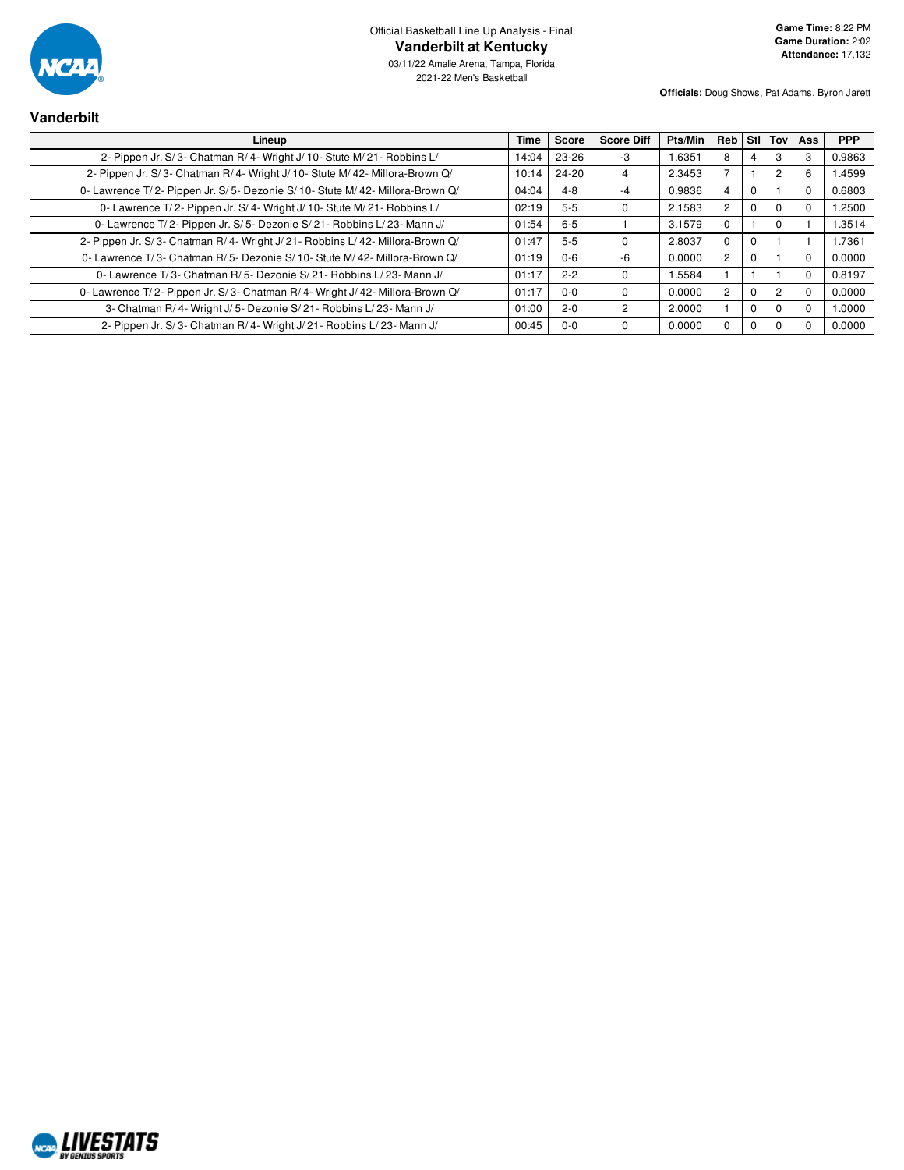

| Vanderbilt                                                                  |        |             |                   |                                 |    |   |  |            |
|-----------------------------------------------------------------------------|--------|-------------|-------------------|---------------------------------|----|---|--|------------|
| Lineup                                                                      | Time I | Score       | <b>Score Diff</b> | Pts/Min   Reb   Stl   Tov   Ass |    |   |  | <b>PPP</b> |
| 2- Pippen Jr. S/3- Chatman R/4- Wright J/10- Stute M/21- Robbins L/         |        | 14:04 23-26 | -3                | 1.6351                          | -8 | 4 |  | 0.9863     |
| 2- Pippen Jr. S/3- Chatman R/4- Wright J/10- Stute M/42- Millora-Brown Q/   | 10:14  | $24 - 20$   | 4                 | 2.3453                          |    |   |  | 1.4599     |
| 0- Lawrence T/2- Pippen Jr. S/5- Dezonie S/10- Stute M/42- Millora-Brown Q/ | 04:04  | 4-8         | -4                | 0.9836                          |    |   |  | 0.6803     |
| 0- Lawrence T/2- Pippen Jr. S/4- Wright J/10- Stute M/21- Robbins L/        | 02:19  | $5-5$       |                   | 2.1583                          |    |   |  | 1.2500     |
|                                                                             | .      |             |                   | - - - - -                       |    |   |  | .          |

| 2- Pippen Jr. S/3- Chatman R/4- Wright J/10- Stute M/42- Millora-Brown Q/   | $10:14$ | 24-20   | 4        | 2.3453 |   |                | 1.4599 |
|-----------------------------------------------------------------------------|---------|---------|----------|--------|---|----------------|--------|
| 0- Lawrence T/2- Pippen Jr. S/5- Dezonie S/10- Stute M/42- Millora-Brown Q/ | 04:04   | $4 - 8$ |          | 0.9836 |   |                | 0.6803 |
| 0- Lawrence T/2- Pippen Jr. S/4- Wright J/10- Stute M/21- Robbins L/        | 02:19   | $5 - 5$ | 0        | 2.1583 |   | $\Omega$       | 1.2500 |
| 0- Lawrence T/2- Pippen Jr. S/5- Dezonie S/21- Robbins L/23- Mann J/        | 01:54   | $6 - 5$ |          | 3.1579 |   | 0              | 1.3514 |
| 2- Pippen Jr. S/3- Chatman R/4- Wright J/21- Robbins L/42- Millora-Brown Q/ | 01:47   | $5 - 5$ | 0        | 2.8037 |   |                | 1.7361 |
| 0- Lawrence T/3- Chatman R/5- Dezonie S/10- Stute M/42- Millora-Brown Q/    | 01:19   | $0 - 6$ | -6       | 0.0000 |   |                | 0.0000 |
| 0- Lawrence T/3- Chatman R/5- Dezonie S/21- Robbins L/23- Mann J/           | 01:17   | $2 - 2$ | 0        | 1.5584 |   |                | 0.8197 |
| 0- Lawrence T/2- Pippen Jr. S/3- Chatman R/4- Wright J/42- Millora-Brown Q/ | 01:17   | $0 - 0$ | 0        | 0.0000 |   | $\overline{c}$ | 0.0000 |
| 3- Chatman R/4- Wright J/5- Dezonie S/21- Robbins L/23- Mann J/             | 01:00   | $2 - 0$ |          | 2.0000 |   | O              | 1.0000 |
| 2- Pippen Jr. S/3- Chatman R/4- Wright J/21- Robbins L/23- Mann J/          | 00:45   | $0 - 0$ | $\Omega$ | 0.0000 | 0 | 0              | 0.0000 |
|                                                                             |         |         |          |        |   |                |        |